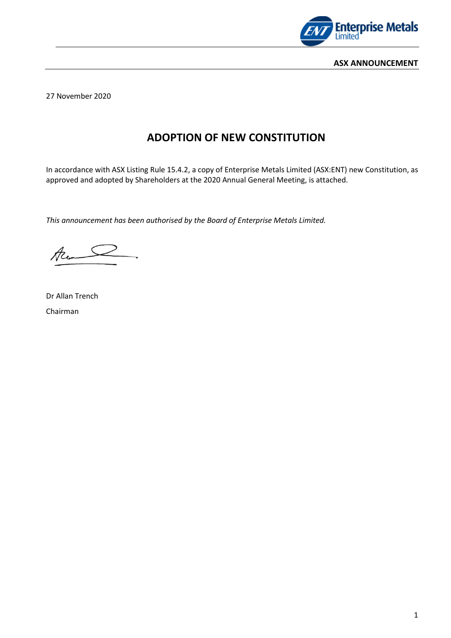

27 November 2020

# **ADOPTION OF NEW CONSTITUTION**

In accordance with ASX Listing Rule 15.4.2, a copy of Enterprise Metals Limited (ASX:ENT) new Constitution, as approved and adopted by Shareholders at the 2020 Annual General Meeting, is attached.

*This announcement has been authorised by the Board of Enterprise Metals Limited.*

Acons

Dr Allan Trench Chairman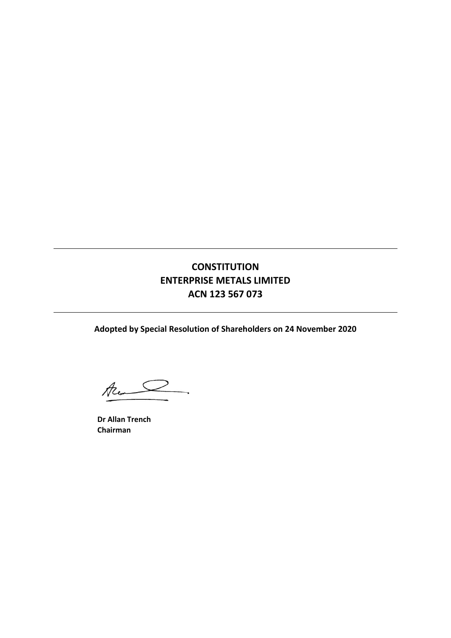# **CONSTITUTION ENTERPRISE METALS LIMITED ACN 123 567 073**

**Adopted by Special Resolution of Shareholders on 24 November 2020**

Au D  $\overline{\phantom{a}}$ 

**Dr Allan Trench Chairman**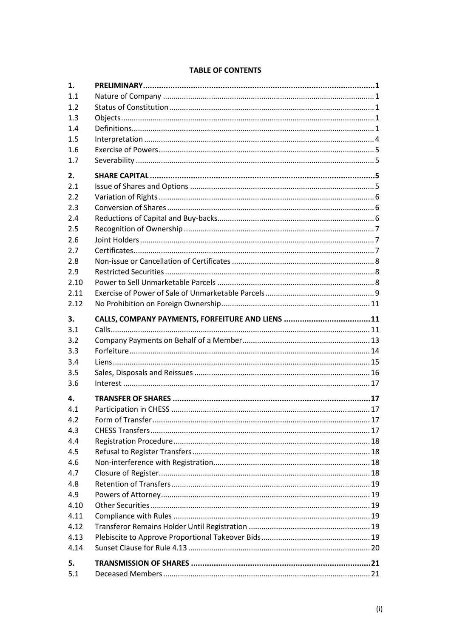## **TABLE OF CONTENTS**

| 1.        |                                                  |  |
|-----------|--------------------------------------------------|--|
| 1.1       |                                                  |  |
| 1.2       |                                                  |  |
| 1.3       |                                                  |  |
| 1.4       |                                                  |  |
| 1.5       |                                                  |  |
| 1.6       |                                                  |  |
| 1.7       |                                                  |  |
| 2.        |                                                  |  |
| 2.1       |                                                  |  |
| 2.2       |                                                  |  |
| 2.3       |                                                  |  |
| 2.4       |                                                  |  |
| 2.5       |                                                  |  |
| 2.6       |                                                  |  |
| 2.7       |                                                  |  |
| 2.8       |                                                  |  |
| 2.9       |                                                  |  |
| 2.10      |                                                  |  |
| 2.11      |                                                  |  |
| 2.12      |                                                  |  |
|           |                                                  |  |
| 3.<br>3.1 | CALLS, COMPANY PAYMENTS, FORFEITURE AND LIENS 11 |  |
|           |                                                  |  |
|           |                                                  |  |
| 3.2       |                                                  |  |
| 3.3       |                                                  |  |
| 3.4       |                                                  |  |
| 3.5       |                                                  |  |
| 3.6       |                                                  |  |
| 4.        |                                                  |  |
| 4.1       |                                                  |  |
| 4.2       |                                                  |  |
| 4.3       |                                                  |  |
| 4.4       |                                                  |  |
| 4.5       |                                                  |  |
| 4.6       |                                                  |  |
| 4.7       |                                                  |  |
| 4.8       |                                                  |  |
| 4.9       |                                                  |  |
| 4.10      |                                                  |  |
| 4.11      |                                                  |  |
| 4.12      |                                                  |  |
| 4.13      |                                                  |  |
| 4.14      |                                                  |  |
| 5.        |                                                  |  |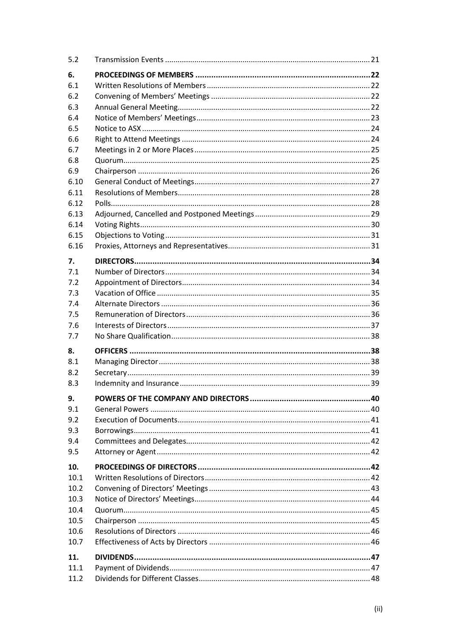| 5.2          |  |
|--------------|--|
| 6.           |  |
| 6.1          |  |
| 6.2          |  |
| 6.3          |  |
| 6.4          |  |
| 6.5          |  |
| 6.6          |  |
| 6.7          |  |
| 6.8          |  |
| 6.9          |  |
| 6.10         |  |
| 6.11         |  |
| 6.12         |  |
| 6.13         |  |
| 6.14<br>6.15 |  |
| 6.16         |  |
|              |  |
| 7.           |  |
| 7.1          |  |
| 7.2          |  |
| 7.3          |  |
| 7.4          |  |
| 7.5          |  |
| 7.6          |  |
| 7.7          |  |
| 8.           |  |
| 8.1          |  |
| 8.2          |  |
| 8.3          |  |
| 9.           |  |
| 9.1          |  |
| 9.2          |  |
| 9.3          |  |
| 9.4          |  |
| 9.5          |  |
| 10.          |  |
| 10.1         |  |
| 10.2         |  |
| 10.3         |  |
| 10.4         |  |
| 10.5         |  |
| 10.6         |  |
| 10.7         |  |
|              |  |
| 11.          |  |
| 11.1         |  |
| 11.2         |  |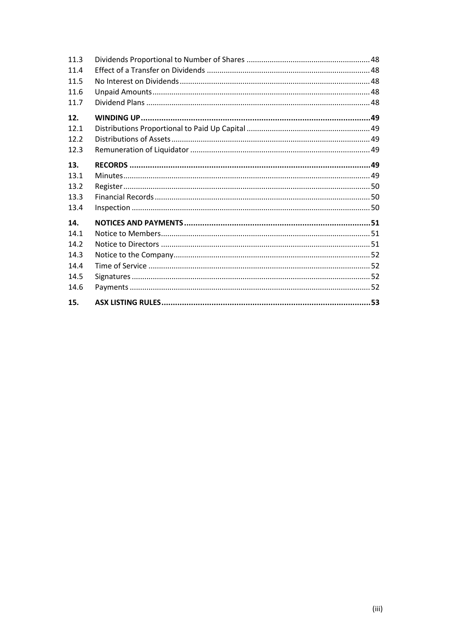| 11.3 |  |
|------|--|
| 11.4 |  |
| 11.5 |  |
| 11.6 |  |
| 11.7 |  |
| 12.  |  |
| 12.1 |  |
| 12.2 |  |
| 12.3 |  |
| 13.  |  |
| 13.1 |  |
| 13.2 |  |
| 13.3 |  |
| 13.4 |  |
| 14.  |  |
| 14.1 |  |
| 14.2 |  |
| 14.3 |  |
| 14.4 |  |
| 14.5 |  |
| 14.6 |  |
| 15.  |  |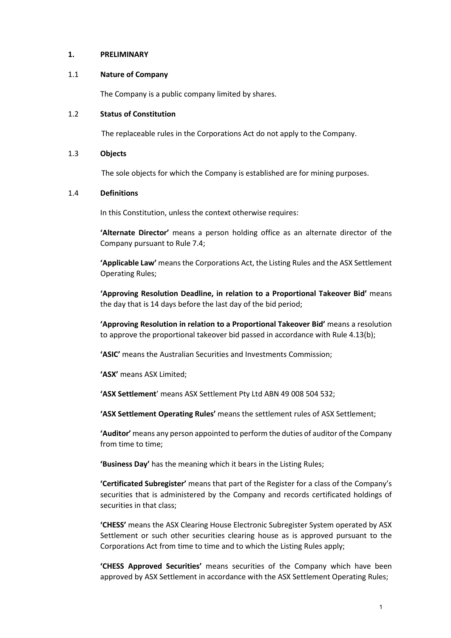#### **1. PRELIMINARY**

#### 1.1 **Nature of Company**

The Company is a public company limited by shares.

#### 1.2 **Status of Constitution**

The replaceable rules in the Corporations Act do not apply to the Company.

#### 1.3 **Objects**

The sole objects for which the Company is established are for mining purposes.

#### 1.4 **Definitions**

In this Constitution, unless the context otherwise requires:

**'Alternate Director'** means a person holding office as an alternate director of the Company pursuant to Rule 7.4;

**'Applicable Law'** means the Corporations Act, the Listing Rules and the ASX Settlement Operating Rules;

**'Approving Resolution Deadline, in relation to a Proportional Takeover Bid'** means the day that is 14 days before the last day of the bid period;

**'Approving Resolution in relation to a Proportional Takeover Bid'** means a resolution to approve the proportional takeover bid passed in accordance with Rule 4.13(b);

**'ASIC'** means the Australian Securities and Investments Commission;

**'ASX'** means ASX Limited;

**'ASX Settlement**' means ASX Settlement Pty Ltd ABN 49 008 504 532;

**'ASX Settlement Operating Rules'** means the settlement rules of ASX Settlement;

**'Auditor'** means any person appointed to perform the duties of auditor of the Company from time to time;

**'Business Day'** has the meaning which it bears in the Listing Rules;

**'Certificated Subregister'** means that part of the Register for a class of the Company's securities that is administered by the Company and records certificated holdings of securities in that class;

**'CHESS'** means the ASX Clearing House Electronic Subregister System operated by ASX Settlement or such other securities clearing house as is approved pursuant to the Corporations Act from time to time and to which the Listing Rules apply;

**'CHESS Approved Securities'** means securities of the Company which have been approved by ASX Settlement in accordance with the ASX Settlement Operating Rules;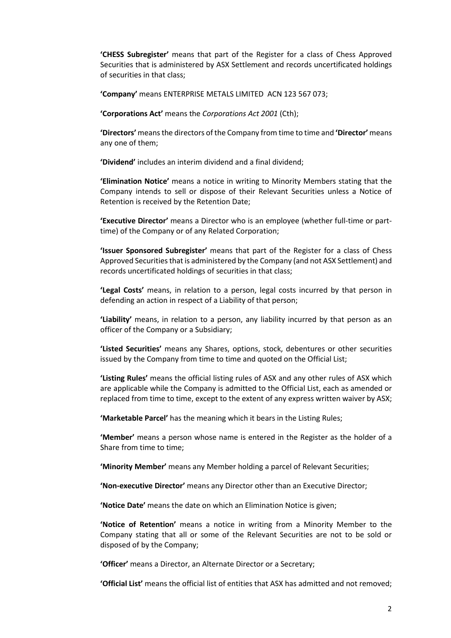**'CHESS Subregister'** means that part of the Register for a class of Chess Approved Securities that is administered by ASX Settlement and records uncertificated holdings of securities in that class;

**'Company'** means ENTERPRISE METALS LIMITED ACN 123 567 073;

**'Corporations Act'** means the *Corporations Act 2001* (Cth);

**'Directors'** means the directors of the Company from time to time and **'Director'** means any one of them;

**'Dividend'** includes an interim dividend and a final dividend;

**'Elimination Notice'** means a notice in writing to Minority Members stating that the Company intends to sell or dispose of their Relevant Securities unless a Notice of Retention is received by the Retention Date;

**'Executive Director'** means a Director who is an employee (whether full-time or parttime) of the Company or of any Related Corporation;

**'Issuer Sponsored Subregister'** means that part of the Register for a class of Chess Approved Securities that is administered by the Company (and not ASX Settlement) and records uncertificated holdings of securities in that class;

**'Legal Costs'** means, in relation to a person, legal costs incurred by that person in defending an action in respect of a Liability of that person;

**'Liability'** means, in relation to a person, any liability incurred by that person as an officer of the Company or a Subsidiary;

**'Listed Securities'** means any Shares, options, stock, debentures or other securities issued by the Company from time to time and quoted on the Official List;

**'Listing Rules'** means the official listing rules of ASX and any other rules of ASX which are applicable while the Company is admitted to the Official List, each as amended or replaced from time to time, except to the extent of any express written waiver by ASX;

**'Marketable Parcel'** has the meaning which it bears in the Listing Rules;

**'Member'** means a person whose name is entered in the Register as the holder of a Share from time to time;

**'Minority Member'** means any Member holding a parcel of Relevant Securities;

**'Non-executive Director'** means any Director other than an Executive Director;

**'Notice Date'** means the date on which an Elimination Notice is given;

**'Notice of Retention'** means a notice in writing from a Minority Member to the Company stating that all or some of the Relevant Securities are not to be sold or disposed of by the Company;

**'Officer'** means a Director, an Alternate Director or a Secretary;

**'Official List'** means the official list of entities that ASX has admitted and not removed;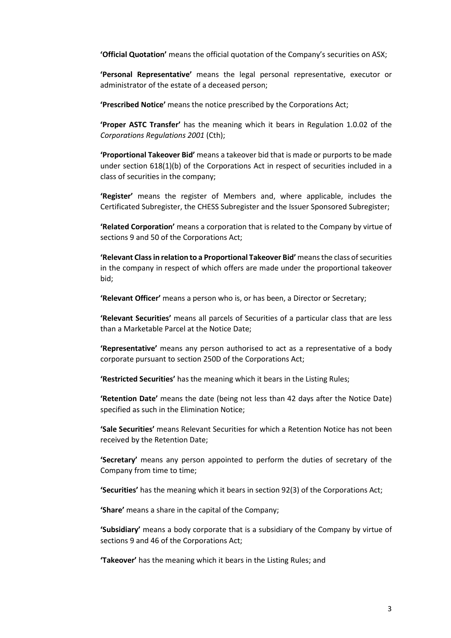**'Official Quotation'** means the official quotation of the Company's securities on ASX;

**'Personal Representative'** means the legal personal representative, executor or administrator of the estate of a deceased person;

**'Prescribed Notice'** means the notice prescribed by the Corporations Act;

**'Proper ASTC Transfer'** has the meaning which it bears in Regulation 1.0.02 of the *Corporations Regulations 2001* (Cth);

**'Proportional Takeover Bid'** means a takeover bid that is made or purports to be made under section 618(1)(b) of the Corporations Act in respect of securities included in a class of securities in the company;

**'Register'** means the register of Members and, where applicable, includes the Certificated Subregister, the CHESS Subregister and the Issuer Sponsored Subregister;

**'Related Corporation'** means a corporation that is related to the Company by virtue of sections 9 and 50 of the Corporations Act;

**'Relevant Class in relation to a Proportional Takeover Bid'** means the class of securities in the company in respect of which offers are made under the proportional takeover bid;

**'Relevant Officer'** means a person who is, or has been, a Director or Secretary;

**'Relevant Securities'** means all parcels of Securities of a particular class that are less than a Marketable Parcel at the Notice Date;

**'Representative'** means any person authorised to act as a representative of a body corporate pursuant to section 250D of the Corporations Act;

**'Restricted Securities'** has the meaning which it bears in the Listing Rules;

**'Retention Date'** means the date (being not less than 42 days after the Notice Date) specified as such in the Elimination Notice;

**'Sale Securities'** means Relevant Securities for which a Retention Notice has not been received by the Retention Date;

**'Secretary'** means any person appointed to perform the duties of secretary of the Company from time to time;

**'Securities'** has the meaning which it bears in section 92(3) of the Corporations Act;

**'Share'** means a share in the capital of the Company;

**'Subsidiary'** means a body corporate that is a subsidiary of the Company by virtue of sections 9 and 46 of the Corporations Act;

**'Takeover'** has the meaning which it bears in the Listing Rules; and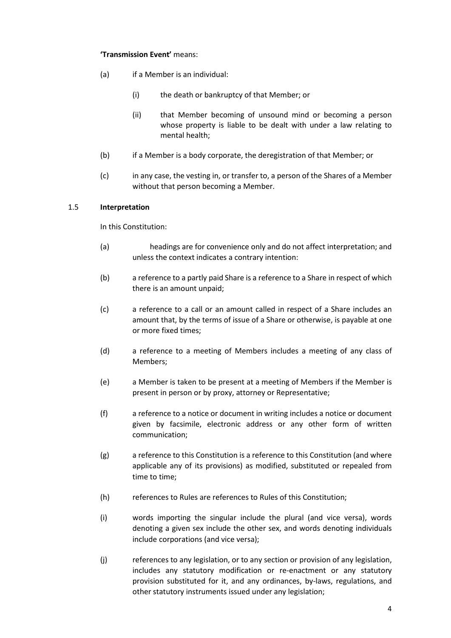## **'Transmission Event'** means:

- (a) if a Member is an individual:
	- (i) the death or bankruptcy of that Member; or
	- (ii) that Member becoming of unsound mind or becoming a person whose property is liable to be dealt with under a law relating to mental health;
- (b) if a Member is a body corporate, the deregistration of that Member; or
- (c) in any case, the vesting in, or transfer to, a person of the Shares of a Member without that person becoming a Member.

## 1.5 **Interpretation**

In this Constitution:

- (a) headings are for convenience only and do not affect interpretation; and unless the context indicates a contrary intention:
- (b) a reference to a partly paid Share is a reference to a Share in respect of which there is an amount unpaid;
- (c) a reference to a call or an amount called in respect of a Share includes an amount that, by the terms of issue of a Share or otherwise, is payable at one or more fixed times;
- (d) a reference to a meeting of Members includes a meeting of any class of Members;
- (e) a Member is taken to be present at a meeting of Members if the Member is present in person or by proxy, attorney or Representative;
- (f) a reference to a notice or document in writing includes a notice or document given by facsimile, electronic address or any other form of written communication;
- (g) a reference to this Constitution is a reference to this Constitution (and where applicable any of its provisions) as modified, substituted or repealed from time to time;
- (h) references to Rules are references to Rules of this Constitution;
- (i) words importing the singular include the plural (and vice versa), words denoting a given sex include the other sex, and words denoting individuals include corporations (and vice versa);
- (j) references to any legislation, or to any section or provision of any legislation, includes any statutory modification or re-enactment or any statutory provision substituted for it, and any ordinances, by-laws, regulations, and other statutory instruments issued under any legislation;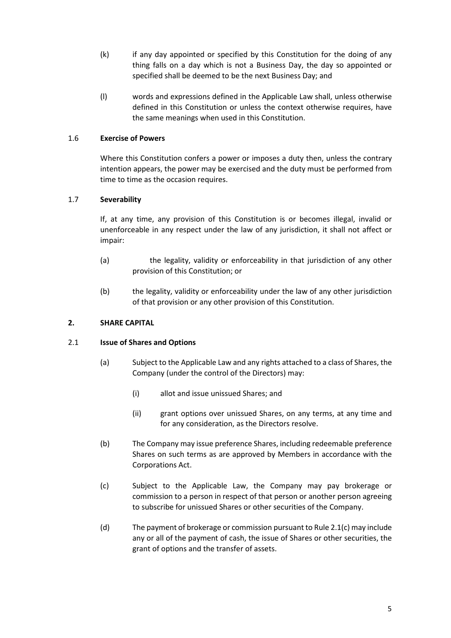- (k) if any day appointed or specified by this Constitution for the doing of any thing falls on a day which is not a Business Day, the day so appointed or specified shall be deemed to be the next Business Day; and
- (l) words and expressions defined in the Applicable Law shall, unless otherwise defined in this Constitution or unless the context otherwise requires, have the same meanings when used in this Constitution.

## 1.6 **Exercise of Powers**

Where this Constitution confers a power or imposes a duty then, unless the contrary intention appears, the power may be exercised and the duty must be performed from time to time as the occasion requires.

## 1.7 **Severability**

If, at any time, any provision of this Constitution is or becomes illegal, invalid or unenforceable in any respect under the law of any jurisdiction, it shall not affect or impair:

- (a) the legality, validity or enforceability in that jurisdiction of any other provision of this Constitution; or
- (b) the legality, validity or enforceability under the law of any other jurisdiction of that provision or any other provision of this Constitution.

## **2. SHARE CAPITAL**

#### 2.1 **Issue of Shares and Options**

- (a) Subject to the Applicable Law and any rights attached to a class of Shares, the Company (under the control of the Directors) may:
	- (i) allot and issue unissued Shares; and
	- (ii) grant options over unissued Shares, on any terms, at any time and for any consideration, as the Directors resolve.
- (b) The Company may issue preference Shares, including redeemable preference Shares on such terms as are approved by Members in accordance with the Corporations Act.
- (c) Subject to the Applicable Law, the Company may pay brokerage or commission to a person in respect of that person or another person agreeing to subscribe for unissued Shares or other securities of the Company.
- (d) The payment of brokerage or commission pursuant to Rule 2.1(c) may include any or all of the payment of cash, the issue of Shares or other securities, the grant of options and the transfer of assets.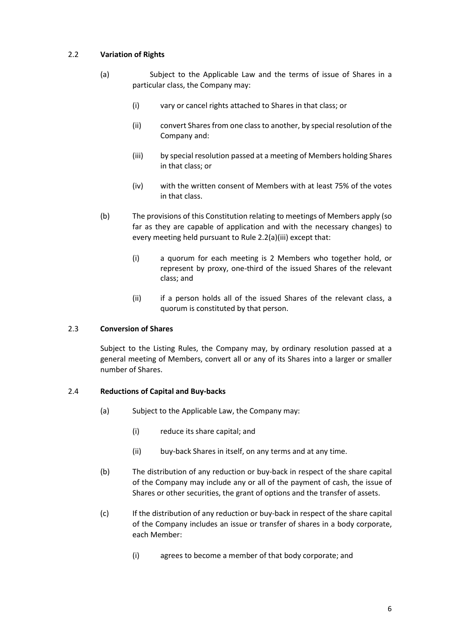# 2.2 **Variation of Rights**

- (a) Subject to the Applicable Law and the terms of issue of Shares in a particular class, the Company may:
	- (i) vary or cancel rights attached to Shares in that class; or
	- (ii) convert Shares from one class to another, by special resolution of the Company and:
	- (iii) by special resolution passed at a meeting of Members holding Shares in that class; or
	- (iv) with the written consent of Members with at least 75% of the votes in that class.
- (b) The provisions of this Constitution relating to meetings of Members apply (so far as they are capable of application and with the necessary changes) to every meeting held pursuant to Rule 2.2(a)(iii) except that:
	- (i) a quorum for each meeting is 2 Members who together hold, or represent by proxy, one-third of the issued Shares of the relevant class; and
	- (ii) if a person holds all of the issued Shares of the relevant class, a quorum is constituted by that person.

#### 2.3 **Conversion of Shares**

Subject to the Listing Rules, the Company may, by ordinary resolution passed at a general meeting of Members, convert all or any of its Shares into a larger or smaller number of Shares.

#### 2.4 **Reductions of Capital and Buy-backs**

- (a) Subject to the Applicable Law, the Company may:
	- (i) reduce its share capital; and
	- (ii) buy-back Shares in itself, on any terms and at any time.
- (b) The distribution of any reduction or buy-back in respect of the share capital of the Company may include any or all of the payment of cash, the issue of Shares or other securities, the grant of options and the transfer of assets.
- (c) If the distribution of any reduction or buy-back in respect of the share capital of the Company includes an issue or transfer of shares in a body corporate, each Member:
	- (i) agrees to become a member of that body corporate; and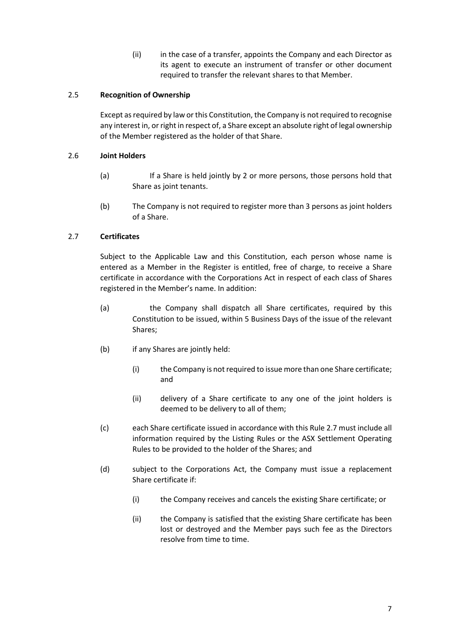(ii) in the case of a transfer, appoints the Company and each Director as its agent to execute an instrument of transfer or other document required to transfer the relevant shares to that Member.

## 2.5 **Recognition of Ownership**

Except as required by law or this Constitution, the Company is not required to recognise any interest in, or right in respect of, a Share except an absolute right of legal ownership of the Member registered as the holder of that Share.

## 2.6 **Joint Holders**

- (a) If a Share is held jointly by 2 or more persons, those persons hold that Share as joint tenants.
- (b) The Company is not required to register more than 3 persons as joint holders of a Share.

# 2.7 **Certificates**

Subject to the Applicable Law and this Constitution, each person whose name is entered as a Member in the Register is entitled, free of charge, to receive a Share certificate in accordance with the Corporations Act in respect of each class of Shares registered in the Member's name. In addition:

- (a) the Company shall dispatch all Share certificates, required by this Constitution to be issued, within 5 Business Days of the issue of the relevant Shares;
- (b) if any Shares are jointly held:
	- (i) the Company is not required to issue more than one Share certificate; and
	- (ii) delivery of a Share certificate to any one of the joint holders is deemed to be delivery to all of them;
- (c) each Share certificate issued in accordance with this Rule 2.7 must include all information required by the Listing Rules or the ASX Settlement Operating Rules to be provided to the holder of the Shares; and
- (d) subject to the Corporations Act, the Company must issue a replacement Share certificate if:
	- (i) the Company receives and cancels the existing Share certificate; or
	- (ii) the Company is satisfied that the existing Share certificate has been lost or destroyed and the Member pays such fee as the Directors resolve from time to time.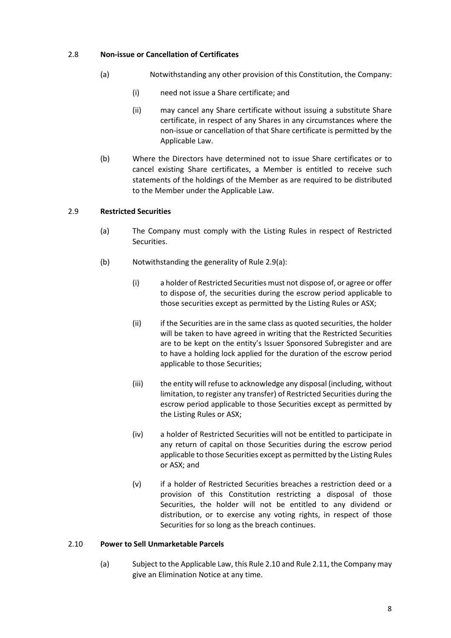## 2.8 **Non-issue or Cancellation of Certificates**

- (a) Notwithstanding any other provision of this Constitution, the Company:
	- (i) need not issue a Share certificate; and
	- (ii) may cancel any Share certificate without issuing a substitute Share certificate, in respect of any Shares in any circumstances where the non-issue or cancellation of that Share certificate is permitted by the Applicable Law.
- (b) Where the Directors have determined not to issue Share certificates or to cancel existing Share certificates, a Member is entitled to receive such statements of the holdings of the Member as are required to be distributed to the Member under the Applicable Law.

## 2.9 **Restricted Securities**

- (a) The Company must comply with the Listing Rules in respect of Restricted Securities.
- (b) Notwithstanding the generality of Rule 2.9(a):
	- (i) a holder of Restricted Securities must not dispose of, or agree or offer to dispose of, the securities during the escrow period applicable to those securities except as permitted by the Listing Rules or ASX;
	- (ii) if the Securities are in the same class as quoted securities, the holder will be taken to have agreed in writing that the Restricted Securities are to be kept on the entity's Issuer Sponsored Subregister and are to have a holding lock applied for the duration of the escrow period applicable to those Securities;
	- (iii) the entity will refuse to acknowledge any disposal (including, without limitation, to register any transfer) of Restricted Securities during the escrow period applicable to those Securities except as permitted by the Listing Rules or ASX;
	- (iv) a holder of Restricted Securities will not be entitled to participate in any return of capital on those Securities during the escrow period applicable to those Securities except as permitted by the Listing Rules or ASX; and
	- (v) if a holder of Restricted Securities breaches a restriction deed or a provision of this Constitution restricting a disposal of those Securities, the holder will not be entitled to any dividend or distribution, or to exercise any voting rights, in respect of those Securities for so long as the breach continues.

#### 2.10 **Power to Sell Unmarketable Parcels**

(a) Subject to the Applicable Law, this Rule 2.10 and Rule 2.11, the Company may give an Elimination Notice at any time.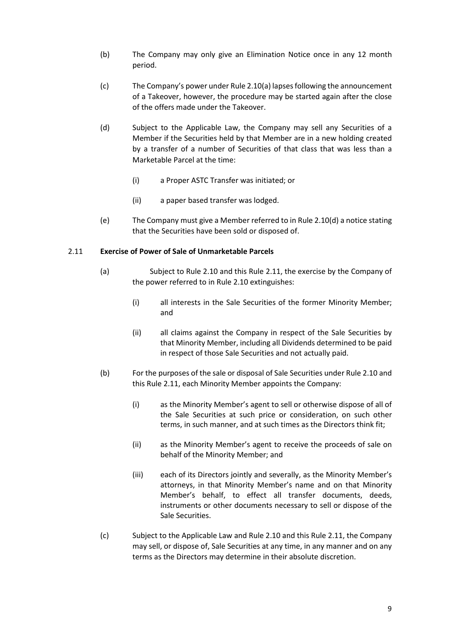- (b) The Company may only give an Elimination Notice once in any 12 month period.
- (c) The Company's power under Rule 2.10(a) lapses following the announcement of a Takeover, however, the procedure may be started again after the close of the offers made under the Takeover.
- (d) Subject to the Applicable Law, the Company may sell any Securities of a Member if the Securities held by that Member are in a new holding created by a transfer of a number of Securities of that class that was less than a Marketable Parcel at the time:
	- (i) a Proper ASTC Transfer was initiated; or
	- (ii) a paper based transfer was lodged.
- (e) The Company must give a Member referred to in Rule 2.10(d) a notice stating that the Securities have been sold or disposed of.

#### 2.11 **Exercise of Power of Sale of Unmarketable Parcels**

- (a) Subject to Rule 2.10 and this Rule 2.11, the exercise by the Company of the power referred to in Rule 2.10 extinguishes:
	- (i) all interests in the Sale Securities of the former Minority Member; and
	- (ii) all claims against the Company in respect of the Sale Securities by that Minority Member, including all Dividends determined to be paid in respect of those Sale Securities and not actually paid.
- (b) For the purposes of the sale or disposal of Sale Securities under Rule 2.10 and this Rule 2.11, each Minority Member appoints the Company:
	- (i) as the Minority Member's agent to sell or otherwise dispose of all of the Sale Securities at such price or consideration, on such other terms, in such manner, and at such times as the Directors think fit;
	- (ii) as the Minority Member's agent to receive the proceeds of sale on behalf of the Minority Member; and
	- (iii) each of its Directors jointly and severally, as the Minority Member's attorneys, in that Minority Member's name and on that Minority Member's behalf, to effect all transfer documents, deeds, instruments or other documents necessary to sell or dispose of the Sale Securities.
- (c) Subject to the Applicable Law and Rule 2.10 and this Rule 2.11, the Company may sell, or dispose of, Sale Securities at any time, in any manner and on any terms as the Directors may determine in their absolute discretion.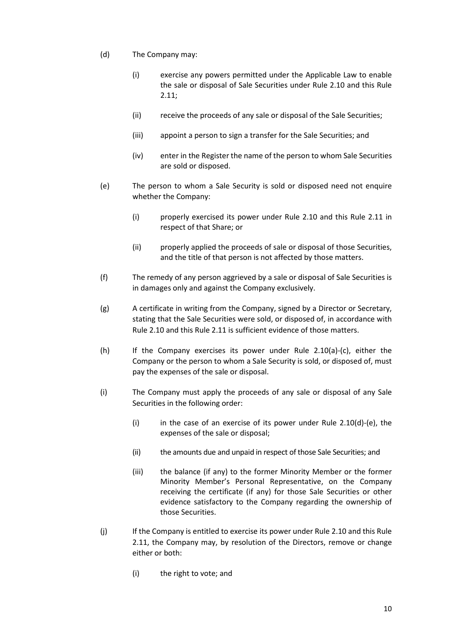- (d) The Company may:
	- (i) exercise any powers permitted under the Applicable Law to enable the sale or disposal of Sale Securities under Rule 2.10 and this Rule 2.11;
	- (ii) receive the proceeds of any sale or disposal of the Sale Securities;
	- (iii) appoint a person to sign a transfer for the Sale Securities; and
	- (iv) enter in the Register the name of the person to whom Sale Securities are sold or disposed.
- (e) The person to whom a Sale Security is sold or disposed need not enquire whether the Company:
	- (i) properly exercised its power under Rule 2.10 and this Rule 2.11 in respect of that Share; or
	- (ii) properly applied the proceeds of sale or disposal of those Securities, and the title of that person is not affected by those matters.
- (f) The remedy of any person aggrieved by a sale or disposal of Sale Securities is in damages only and against the Company exclusively.
- (g) A certificate in writing from the Company, signed by a Director or Secretary, stating that the Sale Securities were sold, or disposed of, in accordance with Rule 2.10 and this Rule 2.11 is sufficient evidence of those matters.
- (h) If the Company exercises its power under Rule 2.10(a)-(c), either the Company or the person to whom a Sale Security is sold, or disposed of, must pay the expenses of the sale or disposal.
- (i) The Company must apply the proceeds of any sale or disposal of any Sale Securities in the following order:
	- (i) in the case of an exercise of its power under Rule 2.10(d)-(e), the expenses of the sale or disposal;
	- (ii) the amounts due and unpaid in respect of those Sale Securities; and
	- (iii) the balance (if any) to the former Minority Member or the former Minority Member's Personal Representative, on the Company receiving the certificate (if any) for those Sale Securities or other evidence satisfactory to the Company regarding the ownership of those Securities.
- (j) If the Company is entitled to exercise its power under Rule 2.10 and this Rule 2.11, the Company may, by resolution of the Directors, remove or change either or both:
	- (i) the right to vote; and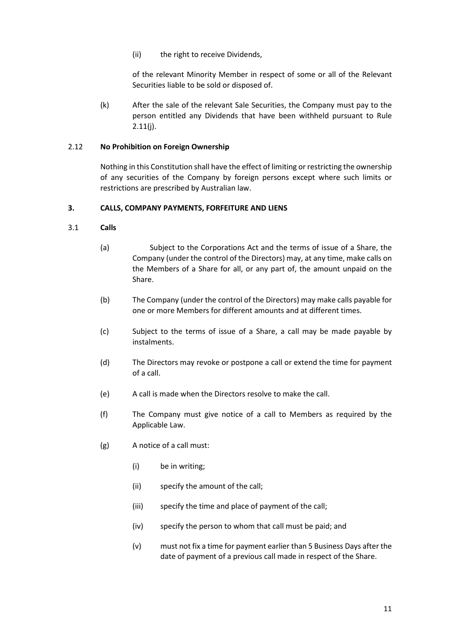(ii) the right to receive Dividends,

of the relevant Minority Member in respect of some or all of the Relevant Securities liable to be sold or disposed of.

(k) After the sale of the relevant Sale Securities, the Company must pay to the person entitled any Dividends that have been withheld pursuant to Rule  $2.11(j)$ .

## 2.12 **No Prohibition on Foreign Ownership**

Nothing in this Constitution shall have the effect of limiting or restricting the ownership of any securities of the Company by foreign persons except where such limits or restrictions are prescribed by Australian law.

### **3. CALLS, COMPANY PAYMENTS, FORFEITURE AND LIENS**

- 3.1 **Calls**
	- (a) Subject to the Corporations Act and the terms of issue of a Share, the Company (under the control of the Directors) may, at any time, make calls on the Members of a Share for all, or any part of, the amount unpaid on the Share.
	- (b) The Company (under the control of the Directors) may make calls payable for one or more Members for different amounts and at different times.
	- (c) Subject to the terms of issue of a Share, a call may be made payable by instalments.
	- (d) The Directors may revoke or postpone a call or extend the time for payment of a call.
	- (e) A call is made when the Directors resolve to make the call.
	- (f) The Company must give notice of a call to Members as required by the Applicable Law.
	- (g) A notice of a call must:
		- (i) be in writing;
		- (ii) specify the amount of the call;
		- (iii) specify the time and place of payment of the call;
		- (iv) specify the person to whom that call must be paid; and
		- (v) must not fix a time for payment earlier than 5 Business Days after the date of payment of a previous call made in respect of the Share.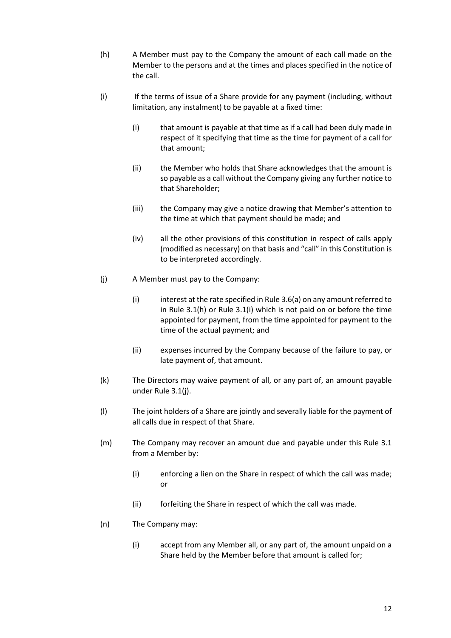- <span id="page-16-0"></span>(h) A Member must pay to the Company the amount of each call made on the Member to the persons and at the times and places specified in the notice of the call.
- <span id="page-16-1"></span>(i) If the terms of issue of a Share provide for any payment (including, without limitation, any instalment) to be payable at a fixed time:
	- (i) that amount is payable at that time as if a call had been duly made in respect of it specifying that time as the time for payment of a call for that amount;
	- (ii) the Member who holds that Share acknowledges that the amount is so payable as a call without the Company giving any further notice to that Shareholder;
	- (iii) the Company may give a notice drawing that Member's attention to the time at which that payment should be made; and
	- (iv) all the other provisions of this constitution in respect of calls apply (modified as necessary) on that basis and "call" in this Constitution is to be interpreted accordingly.
- <span id="page-16-2"></span>(j) A Member must pay to the Company:
	- $(i)$  interest at the rate specified in Rule 3.6(a) on any amount referred to in Rule 3.[1\(h\)](#page-16-0) or Rule 3.[1\(i\)](#page-16-1) which is not paid on or before the time appointed for payment, from the time appointed for payment to the time of the actual payment; and
	- (ii) expenses incurred by the Company because of the failure to pay, or late payment of, that amount.
- (k) The Directors may waive payment of all, or any part of, an amount payable under Rule 3.[1\(j\).](#page-16-2)
- (l) The joint holders of a Share are jointly and severally liable for the payment of all calls due in respect of that Share.
- (m) The Company may recover an amount due and payable under this Rule 3.1 from a Member by:
	- (i) enforcing a lien on the Share in respect of which the call was made; or
	- (ii) forfeiting the Share in respect of which the call was made.
- (n) The Company may:
	- (i) accept from any Member all, or any part of, the amount unpaid on a Share held by the Member before that amount is called for;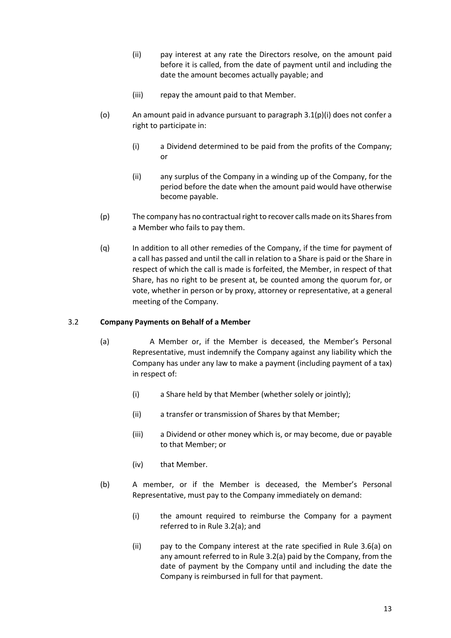- (ii) pay interest at any rate the Directors resolve, on the amount paid before it is called, from the date of payment until and including the date the amount becomes actually payable; and
- (iii) repay the amount paid to that Member.
- (o) An amount paid in advance pursuant to paragraph 3.1(p)(i) does not confer a right to participate in:
	- (i) a Dividend determined to be paid from the profits of the Company; or
	- (ii) any surplus of the Company in a winding up of the Company, for the period before the date when the amount paid would have otherwise become payable.
- (p) The company has no contractual right to recover calls made on its Shares from a Member who fails to pay them.
- (q) In addition to all other remedies of the Company, if the time for payment of a call has passed and until the call in relation to a Share is paid or the Share in respect of which the call is made is forfeited, the Member, in respect of that Share, has no right to be present at, be counted among the quorum for, or vote, whether in person or by proxy, attorney or representative, at a general meeting of the Company.

## 3.2 **Company Payments on Behalf of a Member**

- (a) A Member or, if the Member is deceased, the Member's Personal Representative, must indemnify the Company against any liability which the Company has under any law to make a payment (including payment of a tax) in respect of:
	- (i) a Share held by that Member (whether solely or jointly);
	- (ii) a transfer or transmission of Shares by that Member;
	- (iii) a Dividend or other money which is, or may become, due or payable to that Member; or
	- (iv) that Member.
- (b) A member, or if the Member is deceased, the Member's Personal Representative, must pay to the Company immediately on demand:
	- (i) the amount required to reimburse the Company for a payment referred to in Rule 3.2(a); and
	- (ii) pay to the Company interest at the rate specified in Rule 3.6(a) on any amount referred to in Rule 3.2(a) paid by the Company, from the date of payment by the Company until and including the date the Company is reimbursed in full for that payment.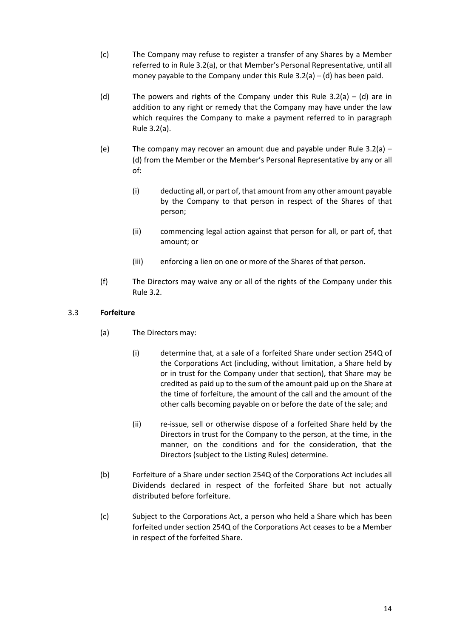- (c) The Company may refuse to register a transfer of any Shares by a Member referred to in Rule 3.2(a), or that Member's Personal Representative, until all money payable to the Company under this Rule  $3.2(a) - (d)$  has been paid.
- (d) The powers and rights of the Company under this Rule 3.2(a) (d) are in addition to any right or remedy that the Company may have under the law which requires the Company to make a payment referred to in paragraph Rule 3.2(a).
- (e) The company may recover an amount due and payable under Rule 3.2(a) (d) from the Member or the Member's Personal Representative by any or all of:
	- (i) deducting all, or part of, that amount from any other amount payable by the Company to that person in respect of the Shares of that person;
	- (ii) commencing legal action against that person for all, or part of, that amount; or
	- (iii) enforcing a lien on one or more of the Shares of that person.
- (f) The Directors may waive any or all of the rights of the Company under this Rule 3.2.

# <span id="page-18-0"></span>3.3 **Forfeiture**

- (a) The Directors may:
	- (i) determine that, at a sale of a forfeited Share under section 254Q of the Corporations Act (including, without limitation, a Share held by or in trust for the Company under that section), that Share may be credited as paid up to the sum of the amount paid up on the Share at the time of forfeiture, the amount of the call and the amount of the other calls becoming payable on or before the date of the sale; and
	- (ii) re-issue, sell or otherwise dispose of a forfeited Share held by the Directors in trust for the Company to the person, at the time, in the manner, on the conditions and for the consideration, that the Directors (subject to the Listing Rules) determine.
- (b) Forfeiture of a Share under section 254Q of the Corporations Act includes all Dividends declared in respect of the forfeited Share but not actually distributed before forfeiture.
- (c) Subject to the Corporations Act, a person who held a Share which has been forfeited under section 254Q of the Corporations Act ceases to be a Member in respect of the forfeited Share.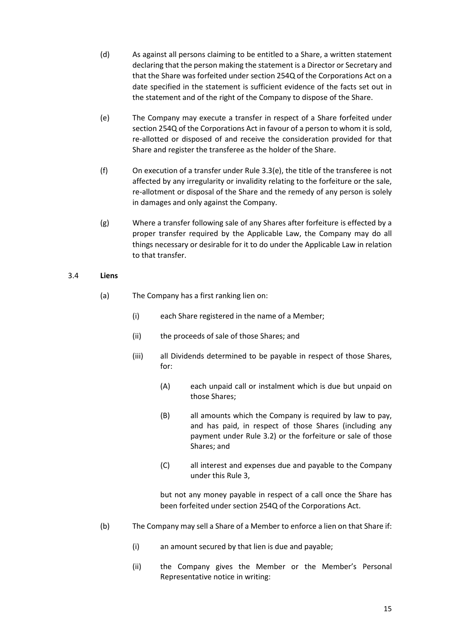- (d) As against all persons claiming to be entitled to a Share, a written statement declaring that the person making the statement is a Director or Secretary and that the Share was forfeited under section 254Q of the Corporations Act on a date specified in the statement is sufficient evidence of the facts set out in the statement and of the right of the Company to dispose of the Share.
- <span id="page-19-0"></span>(e) The Company may execute a transfer in respect of a Share forfeited under section 254Q of the Corporations Act in favour of a person to whom it is sold, re-allotted or disposed of and receive the consideration provided for that Share and register the transferee as the holder of the Share.
- (f) On execution of a transfer under Rul[e 3.3](#page-18-0)[\(e\),](#page-19-0) the title of the transferee is not affected by any irregularity or invalidity relating to the forfeiture or the sale, re-allotment or disposal of the Share and the remedy of any person is solely in damages and only against the Company.
- (g) Where a transfer following sale of any Shares after forfeiture is effected by a proper transfer required by the Applicable Law, the Company may do all things necessary or desirable for it to do under the Applicable Law in relation to that transfer.

## 3.4 **Liens**

- (a) The Company has a first ranking lien on:
	- (i) each Share registered in the name of a Member;
	- (ii) the proceeds of sale of those Shares; and
	- (iii) all Dividends determined to be payable in respect of those Shares, for:
		- (A) each unpaid call or instalment which is due but unpaid on those Shares;
		- (B) all amounts which the Company is required by law to pay, and has paid, in respect of those Shares (including any payment under Rule 3.2) or the forfeiture or sale of those Shares; and
		- (C) all interest and expenses due and payable to the Company under this Rule 3,

but not any money payable in respect of a call once the Share has been forfeited under section 254Q of the Corporations Act.

- (b) The Company may sell a Share of a Member to enforce a lien on that Share if:
	- (i) an amount secured by that lien is due and payable;
	- (ii) the Company gives the Member or the Member's Personal Representative notice in writing: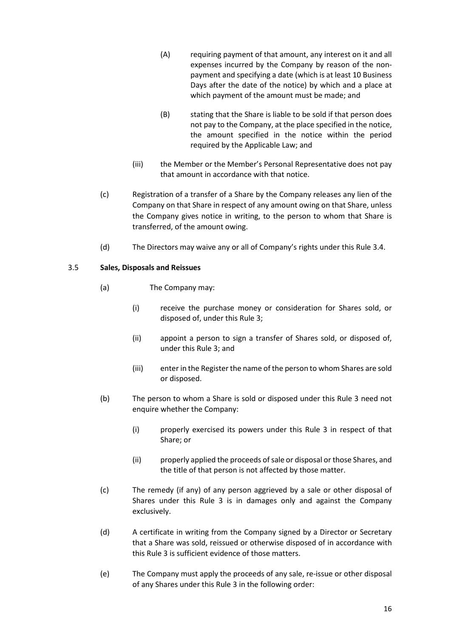- (A) requiring payment of that amount, any interest on it and all expenses incurred by the Company by reason of the nonpayment and specifying a date (which is at least 10 Business Days after the date of the notice) by which and a place at which payment of the amount must be made; and
- (B) stating that the Share is liable to be sold if that person does not pay to the Company, at the place specified in the notice, the amount specified in the notice within the period required by the Applicable Law; and
- (iii) the Member or the Member's Personal Representative does not pay that amount in accordance with that notice.
- (c) Registration of a transfer of a Share by the Company releases any lien of the Company on that Share in respect of any amount owing on that Share, unless the Company gives notice in writing, to the person to whom that Share is transferred, of the amount owing.
- (d) The Directors may waive any or all of Company's rights under this Rule 3.4.

## 3.5 **Sales, Disposals and Reissues**

- (a) The Company may:
	- (i) receive the purchase money or consideration for Shares sold, or disposed of, under this Rule 3;
	- (ii) appoint a person to sign a transfer of Shares sold, or disposed of, under this Rule 3; and
	- (iii) enter in the Register the name of the person to whom Shares are sold or disposed.
- (b) The person to whom a Share is sold or disposed under this Rule 3 need not enquire whether the Company:
	- (i) properly exercised its powers under this Rule 3 in respect of that Share; or
	- (ii) properly applied the proceeds of sale or disposal or those Shares, and the title of that person is not affected by those matter.
- (c) The remedy (if any) of any person aggrieved by a sale or other disposal of Shares under this Rule 3 is in damages only and against the Company exclusively.
- (d) A certificate in writing from the Company signed by a Director or Secretary that a Share was sold, reissued or otherwise disposed of in accordance with this Rule 3 is sufficient evidence of those matters.
- (e) The Company must apply the proceeds of any sale, re-issue or other disposal of any Shares under this Rule 3 in the following order: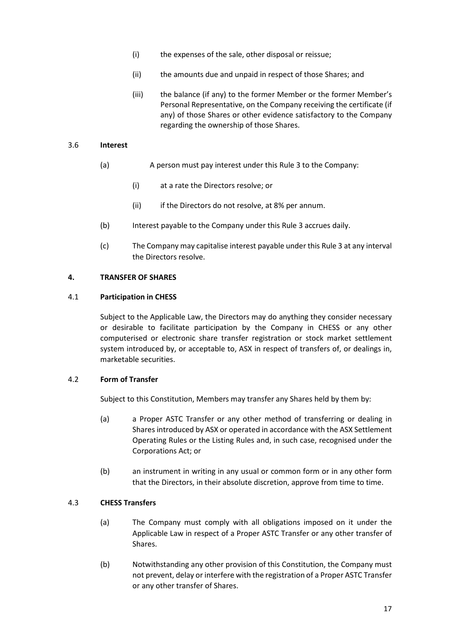- (i) the expenses of the sale, other disposal or reissue;
- (ii) the amounts due and unpaid in respect of those Shares; and
- (iii) the balance (if any) to the former Member or the former Member's Personal Representative, on the Company receiving the certificate (if any) of those Shares or other evidence satisfactory to the Company regarding the ownership of those Shares.

#### 3.6 **Interest**

- (a) A person must pay interest under this Rule 3 to the Company:
	- (i) at a rate the Directors resolve; or
	- (ii) if the Directors do not resolve, at 8% per annum.
- (b) Interest payable to the Company under this Rule 3 accrues daily.
- (c) The Company may capitalise interest payable under this Rule 3 at any interval the Directors resolve.

## **4. TRANSFER OF SHARES**

#### 4.1 **Participation in CHESS**

Subject to the Applicable Law, the Directors may do anything they consider necessary or desirable to facilitate participation by the Company in CHESS or any other computerised or electronic share transfer registration or stock market settlement system introduced by, or acceptable to, ASX in respect of transfers of, or dealings in, marketable securities.

# 4.2 **Form of Transfer**

Subject to this Constitution, Members may transfer any Shares held by them by:

- (a) a Proper ASTC Transfer or any other method of transferring or dealing in Shares introduced by ASX or operated in accordance with the ASX Settlement Operating Rules or the Listing Rules and, in such case, recognised under the Corporations Act; or
- (b) an instrument in writing in any usual or common form or in any other form that the Directors, in their absolute discretion, approve from time to time.

# 4.3 **CHESS Transfers**

- (a) The Company must comply with all obligations imposed on it under the Applicable Law in respect of a Proper ASTC Transfer or any other transfer of Shares.
- (b) Notwithstanding any other provision of this Constitution, the Company must not prevent, delay or interfere with the registration of a Proper ASTC Transfer or any other transfer of Shares.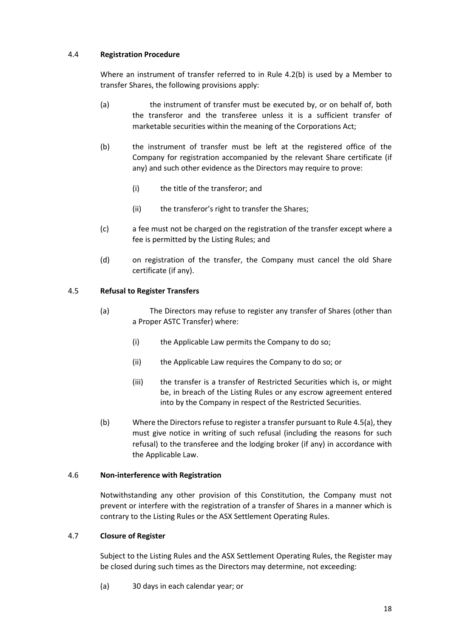## 4.4 **Registration Procedure**

Where an instrument of transfer referred to in Rule 4.2(b) is used by a Member to transfer Shares, the following provisions apply:

- (a) the instrument of transfer must be executed by, or on behalf of, both the transferor and the transferee unless it is a sufficient transfer of marketable securities within the meaning of the Corporations Act;
- (b) the instrument of transfer must be left at the registered office of the Company for registration accompanied by the relevant Share certificate (if any) and such other evidence as the Directors may require to prove:
	- (i) the title of the transferor; and
	- (ii) the transferor's right to transfer the Shares;
- (c) a fee must not be charged on the registration of the transfer except where a fee is permitted by the Listing Rules; and
- (d) on registration of the transfer, the Company must cancel the old Share certificate (if any).

# 4.5 **Refusal to Register Transfers**

- (a) The Directors may refuse to register any transfer of Shares (other than a Proper ASTC Transfer) where:
	- (i) the Applicable Law permits the Company to do so;
	- (ii) the Applicable Law requires the Company to do so; or
	- (iii) the transfer is a transfer of Restricted Securities which is, or might be, in breach of the Listing Rules or any escrow agreement entered into by the Company in respect of the Restricted Securities.
- (b) Where the Directors refuse to register a transfer pursuant to Rule 4.5(a), they must give notice in writing of such refusal (including the reasons for such refusal) to the transferee and the lodging broker (if any) in accordance with the Applicable Law.

# 4.6 **Non-interference with Registration**

Notwithstanding any other provision of this Constitution, the Company must not prevent or interfere with the registration of a transfer of Shares in a manner which is contrary to the Listing Rules or the ASX Settlement Operating Rules.

# 4.7 **Closure of Register**

Subject to the Listing Rules and the ASX Settlement Operating Rules, the Register may be closed during such times as the Directors may determine, not exceeding:

(a) 30 days in each calendar year; or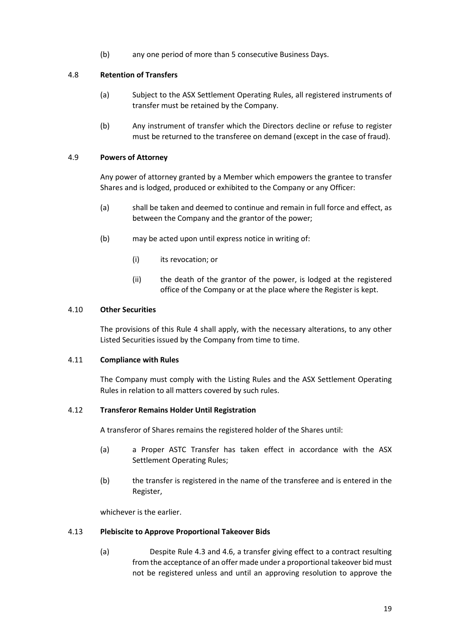(b) any one period of more than 5 consecutive Business Days.

# 4.8 **Retention of Transfers**

- (a) Subject to the ASX Settlement Operating Rules, all registered instruments of transfer must be retained by the Company.
- (b) Any instrument of transfer which the Directors decline or refuse to register must be returned to the transferee on demand (except in the case of fraud).

## 4.9 **Powers of Attorney**

Any power of attorney granted by a Member which empowers the grantee to transfer Shares and is lodged, produced or exhibited to the Company or any Officer:

- (a) shall be taken and deemed to continue and remain in full force and effect, as between the Company and the grantor of the power;
- (b) may be acted upon until express notice in writing of:
	- (i) its revocation; or
	- (ii) the death of the grantor of the power, is lodged at the registered office of the Company or at the place where the Register is kept.

#### 4.10 **Other Securities**

The provisions of this Rule 4 shall apply, with the necessary alterations, to any other Listed Securities issued by the Company from time to time.

#### 4.11 **Compliance with Rules**

The Company must comply with the Listing Rules and the ASX Settlement Operating Rules in relation to all matters covered by such rules.

#### 4.12 **Transferor Remains Holder Until Registration**

A transferor of Shares remains the registered holder of the Shares until:

- (a) a Proper ASTC Transfer has taken effect in accordance with the ASX Settlement Operating Rules;
- (b) the transfer is registered in the name of the transferee and is entered in the Register,

whichever is the earlier.

#### 4.13 **Plebiscite to Approve Proportional Takeover Bids**

(a) Despite Rule 4.3 and 4.6, a transfer giving effect to a contract resulting from the acceptance of an offer made under a proportional takeover bid must not be registered unless and until an approving resolution to approve the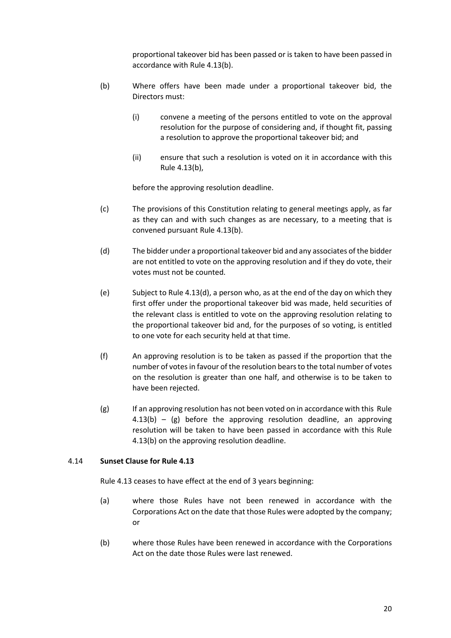proportional takeover bid has been passed or is taken to have been passed in accordance with Rule 4.13(b).

- (b) Where offers have been made under a proportional takeover bid, the Directors must:
	- (i) convene a meeting of the persons entitled to vote on the approval resolution for the purpose of considering and, if thought fit, passing a resolution to approve the proportional takeover bid; and
	- (ii) ensure that such a resolution is voted on it in accordance with this Rule 4.13(b),

before the approving resolution deadline.

- (c) The provisions of this Constitution relating to general meetings apply, as far as they can and with such changes as are necessary, to a meeting that is convened pursuant Rule 4.13(b).
- (d) The bidder under a proportional takeover bid and any associates of the bidder are not entitled to vote on the approving resolution and if they do vote, their votes must not be counted.
- (e) Subject to Rule 4.13(d), a person who, as at the end of the day on which they first offer under the proportional takeover bid was made, held securities of the relevant class is entitled to vote on the approving resolution relating to the proportional takeover bid and, for the purposes of so voting, is entitled to one vote for each security held at that time.
- (f) An approving resolution is to be taken as passed if the proportion that the number of votes in favour of the resolution bears to the total number of votes on the resolution is greater than one half, and otherwise is to be taken to have been rejected.
- (g) If an approving resolution has not been voted on in accordance with this Rule  $4.13(b) - (g)$  before the approving resolution deadline, an approving resolution will be taken to have been passed in accordance with this Rule 4.13(b) on the approving resolution deadline.

#### 4.14 **Sunset Clause for Rule 4.13**

Rule 4.13 ceases to have effect at the end of 3 years beginning:

- (a) where those Rules have not been renewed in accordance with the Corporations Act on the date that those Rules were adopted by the company; or
- (b) where those Rules have been renewed in accordance with the Corporations Act on the date those Rules were last renewed.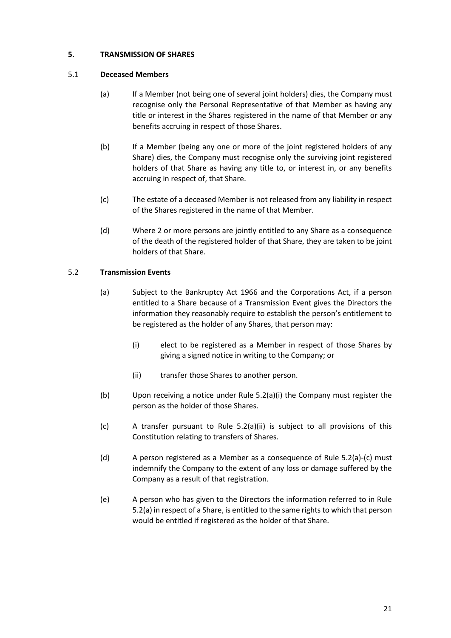# **5. TRANSMISSION OF SHARES**

## 5.1 **Deceased Members**

- (a) If a Member (not being one of several joint holders) dies, the Company must recognise only the Personal Representative of that Member as having any title or interest in the Shares registered in the name of that Member or any benefits accruing in respect of those Shares.
- (b) If a Member (being any one or more of the joint registered holders of any Share) dies, the Company must recognise only the surviving joint registered holders of that Share as having any title to, or interest in, or any benefits accruing in respect of, that Share.
- (c) The estate of a deceased Member is not released from any liability in respect of the Shares registered in the name of that Member.
- (d) Where 2 or more persons are jointly entitled to any Share as a consequence of the death of the registered holder of that Share, they are taken to be joint holders of that Share.

## 5.2 **Transmission Events**

- (a) Subject to the Bankruptcy Act 1966 and the Corporations Act, if a person entitled to a Share because of a Transmission Event gives the Directors the information they reasonably require to establish the person's entitlement to be registered as the holder of any Shares, that person may:
	- (i) elect to be registered as a Member in respect of those Shares by giving a signed notice in writing to the Company; or
	- (ii) transfer those Shares to another person.
- (b) Upon receiving a notice under Rule 5.2(a)(i) the Company must register the person as the holder of those Shares.
- (c) A transfer pursuant to Rule 5.2(a)(ii) is subject to all provisions of this Constitution relating to transfers of Shares.
- (d) A person registered as a Member as a consequence of Rule 5.2(a)-(c) must indemnify the Company to the extent of any loss or damage suffered by the Company as a result of that registration.
- (e) A person who has given to the Directors the information referred to in Rule 5.2(a) in respect of a Share, is entitled to the same rights to which that person would be entitled if registered as the holder of that Share.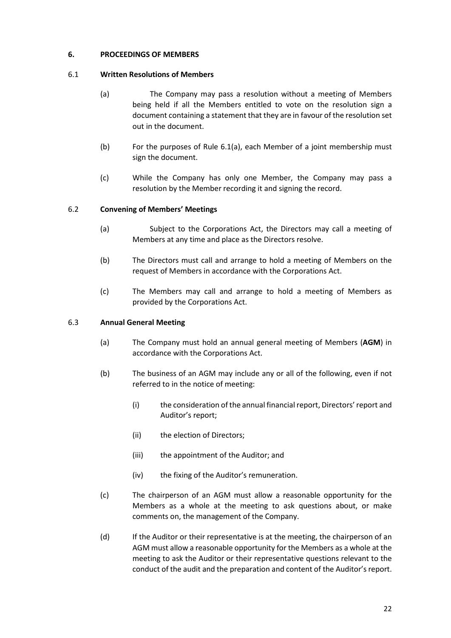## **6. PROCEEDINGS OF MEMBERS**

## 6.1 **Written Resolutions of Members**

- (a) The Company may pass a resolution without a meeting of Members being held if all the Members entitled to vote on the resolution sign a document containing a statement that they are in favour of the resolution set out in the document.
- (b) For the purposes of Rule 6.1(a), each Member of a joint membership must sign the document.
- (c) While the Company has only one Member, the Company may pass a resolution by the Member recording it and signing the record.

## 6.2 **Convening of Members' Meetings**

- (a) Subject to the Corporations Act, the Directors may call a meeting of Members at any time and place as the Directors resolve.
- (b) The Directors must call and arrange to hold a meeting of Members on the request of Members in accordance with the Corporations Act.
- (c) The Members may call and arrange to hold a meeting of Members as provided by the Corporations Act.

#### 6.3 **Annual General Meeting**

- (a) The Company must hold an annual general meeting of Members (**AGM**) in accordance with the Corporations Act.
- (b) The business of an AGM may include any or all of the following, even if not referred to in the notice of meeting:
	- (i) the consideration of the annual financial report, Directors'report and Auditor's report;
	- (ii) the election of Directors;
	- (iii) the appointment of the Auditor; and
	- (iv) the fixing of the Auditor's remuneration.
- (c) The chairperson of an AGM must allow a reasonable opportunity for the Members as a whole at the meeting to ask questions about, or make comments on, the management of the Company.
- (d) If the Auditor or their representative is at the meeting, the chairperson of an AGM must allow a reasonable opportunity for the Members as a whole at the meeting to ask the Auditor or their representative questions relevant to the conduct of the audit and the preparation and content of the Auditor's report.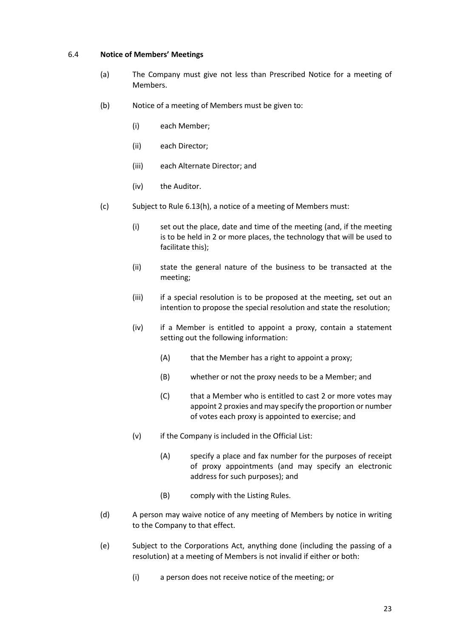#### 6.4 **Notice of Members' Meetings**

- (a) The Company must give not less than Prescribed Notice for a meeting of Members.
- (b) Notice of a meeting of Members must be given to:
	- (i) each Member;
	- (ii) each Director;
	- (iii) each Alternate Director; and
	- (iv) the Auditor.
- (c) Subject to Rule 6.13(h), a notice of a meeting of Members must:
	- (i) set out the place, date and time of the meeting (and, if the meeting is to be held in 2 or more places, the technology that will be used to facilitate this);
	- (ii) state the general nature of the business to be transacted at the meeting;
	- (iii) if a special resolution is to be proposed at the meeting, set out an intention to propose the special resolution and state the resolution;
	- (iv) if a Member is entitled to appoint a proxy, contain a statement setting out the following information:
		- (A) that the Member has a right to appoint a proxy;
		- (B) whether or not the proxy needs to be a Member; and
		- (C) that a Member who is entitled to cast 2 or more votes may appoint 2 proxies and may specify the proportion or number of votes each proxy is appointed to exercise; and
	- (v) if the Company is included in the Official List:
		- (A) specify a place and fax number for the purposes of receipt of proxy appointments (and may specify an electronic address for such purposes); and
		- (B) comply with the Listing Rules.
- (d) A person may waive notice of any meeting of Members by notice in writing to the Company to that effect.
- (e) Subject to the Corporations Act, anything done (including the passing of a resolution) at a meeting of Members is not invalid if either or both:
	- (i) a person does not receive notice of the meeting; or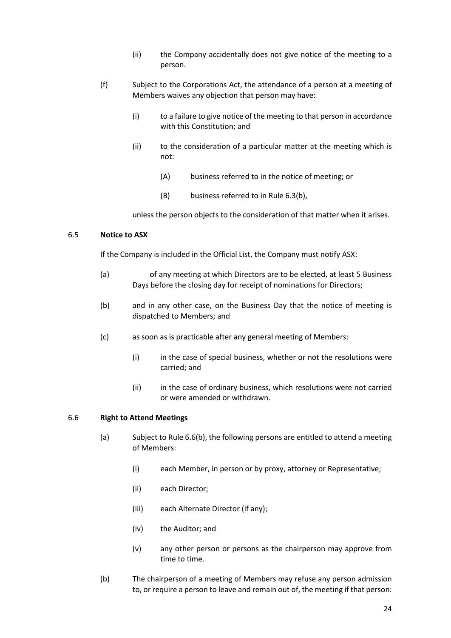- (ii) the Company accidentally does not give notice of the meeting to a person.
- (f) Subject to the Corporations Act, the attendance of a person at a meeting of Members waives any objection that person may have:
	- (i) to a failure to give notice of the meeting to that person in accordance with this Constitution; and
	- (ii) to the consideration of a particular matter at the meeting which is not:
		- (A) business referred to in the notice of meeting; or
		- (B) business referred to in Rule 6.3(b),

unless the person objects to the consideration of that matter when it arises.

## 6.5 **Notice to ASX**

If the Company is included in the Official List, the Company must notify ASX:

- (a) of any meeting at which Directors are to be elected, at least 5 Business Days before the closing day for receipt of nominations for Directors;
- (b) and in any other case, on the Business Day that the notice of meeting is dispatched to Members; and
- (c) as soon as is practicable after any general meeting of Members:
	- (i) in the case of special business, whether or not the resolutions were carried; and
	- (ii) in the case of ordinary business, which resolutions were not carried or were amended or withdrawn.

#### 6.6 **Right to Attend Meetings**

- (a) Subject to Rule 6.6(b), the following persons are entitled to attend a meeting of Members:
	- (i) each Member, in person or by proxy, attorney or Representative;
	- (ii) each Director;
	- (iii) each Alternate Director (if any);
	- (iv) the Auditor; and
	- (v) any other person or persons as the chairperson may approve from time to time.
- (b) The chairperson of a meeting of Members may refuse any person admission to, or require a person to leave and remain out of, the meeting if that person: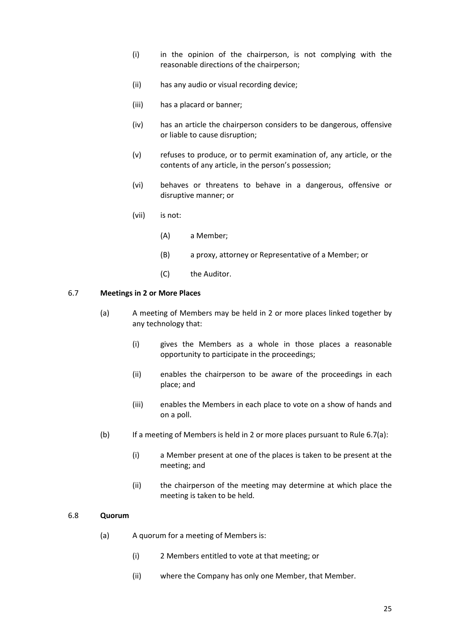- (i) in the opinion of the chairperson, is not complying with the reasonable directions of the chairperson;
- (ii) has any audio or visual recording device;
- (iii) has a placard or banner;
- (iv) has an article the chairperson considers to be dangerous, offensive or liable to cause disruption;
- (v) refuses to produce, or to permit examination of, any article, or the contents of any article, in the person's possession;
- (vi) behaves or threatens to behave in a dangerous, offensive or disruptive manner; or
- (vii) is not:
	- (A) a Member;
	- (B) a proxy, attorney or Representative of a Member; or
	- (C) the Auditor.

#### 6.7 **Meetings in 2 or More Places**

- (a) A meeting of Members may be held in 2 or more places linked together by any technology that:
	- (i) gives the Members as a whole in those places a reasonable opportunity to participate in the proceedings;
	- (ii) enables the chairperson to be aware of the proceedings in each place; and
	- (iii) enables the Members in each place to vote on a show of hands and on a poll.
- (b) If a meeting of Members is held in 2 or more places pursuant to Rule 6.7(a):
	- (i) a Member present at one of the places is taken to be present at the meeting; and
	- (ii) the chairperson of the meeting may determine at which place the meeting is taken to be held.

#### 6.8 **Quorum**

- (a) A quorum for a meeting of Members is:
	- (i) 2 Members entitled to vote at that meeting; or
	- (ii) where the Company has only one Member, that Member.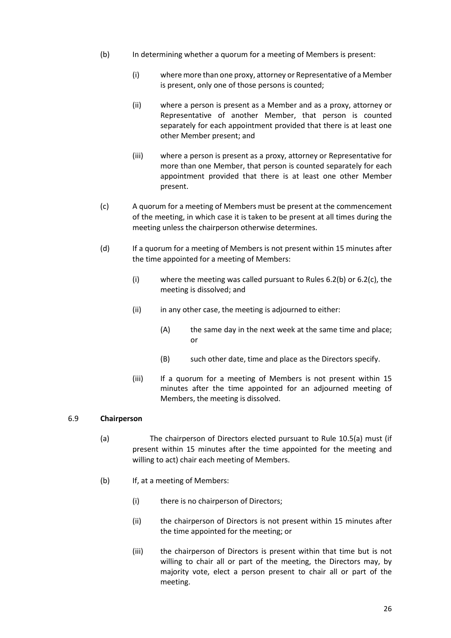- (b) In determining whether a quorum for a meeting of Members is present:
	- (i) where more than one proxy, attorney or Representative of a Member is present, only one of those persons is counted;
	- (ii) where a person is present as a Member and as a proxy, attorney or Representative of another Member, that person is counted separately for each appointment provided that there is at least one other Member present; and
	- (iii) where a person is present as a proxy, attorney or Representative for more than one Member, that person is counted separately for each appointment provided that there is at least one other Member present.
- (c) A quorum for a meeting of Members must be present at the commencement of the meeting, in which case it is taken to be present at all times during the meeting unless the chairperson otherwise determines.
- (d) If a quorum for a meeting of Members is not present within 15 minutes after the time appointed for a meeting of Members:
	- (i) where the meeting was called pursuant to Rules 6.2(b) or 6.2(c), the meeting is dissolved; and
	- (ii) in any other case, the meeting is adjourned to either:
		- (A) the same day in the next week at the same time and place; or
		- (B) such other date, time and place as the Directors specify.
	- (iii) If a quorum for a meeting of Members is not present within 15 minutes after the time appointed for an adjourned meeting of Members, the meeting is dissolved.

#### 6.9 **Chairperson**

- (a) The chairperson of Directors elected pursuant to Rule 10.5(a) must (if present within 15 minutes after the time appointed for the meeting and willing to act) chair each meeting of Members.
- (b) If, at a meeting of Members:
	- (i) there is no chairperson of Directors;
	- (ii) the chairperson of Directors is not present within 15 minutes after the time appointed for the meeting; or
	- (iii) the chairperson of Directors is present within that time but is not willing to chair all or part of the meeting, the Directors may, by majority vote, elect a person present to chair all or part of the meeting.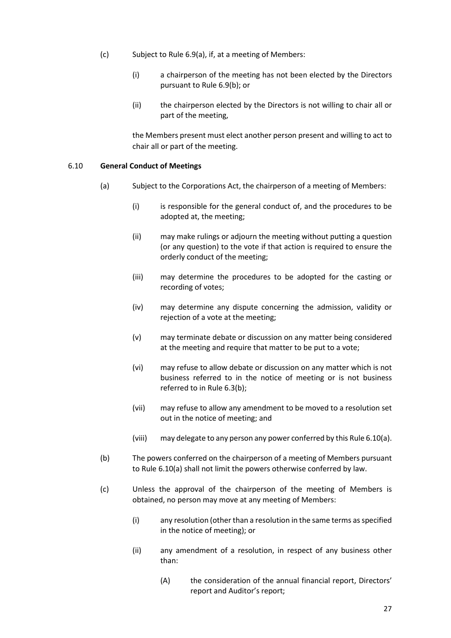- (c) Subject to Rule 6.9(a), if, at a meeting of Members:
	- (i) a chairperson of the meeting has not been elected by the Directors pursuant to Rule 6.9(b); or
	- (ii) the chairperson elected by the Directors is not willing to chair all or part of the meeting,

the Members present must elect another person present and willing to act to chair all or part of the meeting.

#### 6.10 **General Conduct of Meetings**

- (a) Subject to the Corporations Act, the chairperson of a meeting of Members:
	- (i) is responsible for the general conduct of, and the procedures to be adopted at, the meeting;
	- (ii) may make rulings or adjourn the meeting without putting a question (or any question) to the vote if that action is required to ensure the orderly conduct of the meeting;
	- (iii) may determine the procedures to be adopted for the casting or recording of votes;
	- (iv) may determine any dispute concerning the admission, validity or rejection of a vote at the meeting;
	- (v) may terminate debate or discussion on any matter being considered at the meeting and require that matter to be put to a vote;
	- (vi) may refuse to allow debate or discussion on any matter which is not business referred to in the notice of meeting or is not business referred to in Rule 6.3(b);
	- (vii) may refuse to allow any amendment to be moved to a resolution set out in the notice of meeting; and
	- (viii) may delegate to any person any power conferred by this Rule 6.10(a).
- (b) The powers conferred on the chairperson of a meeting of Members pursuant to Rule 6.10(a) shall not limit the powers otherwise conferred by law.
- (c) Unless the approval of the chairperson of the meeting of Members is obtained, no person may move at any meeting of Members:
	- (i) any resolution (other than a resolution in the same terms as specified in the notice of meeting); or
	- (ii) any amendment of a resolution, in respect of any business other than:
		- (A) the consideration of the annual financial report, Directors' report and Auditor's report;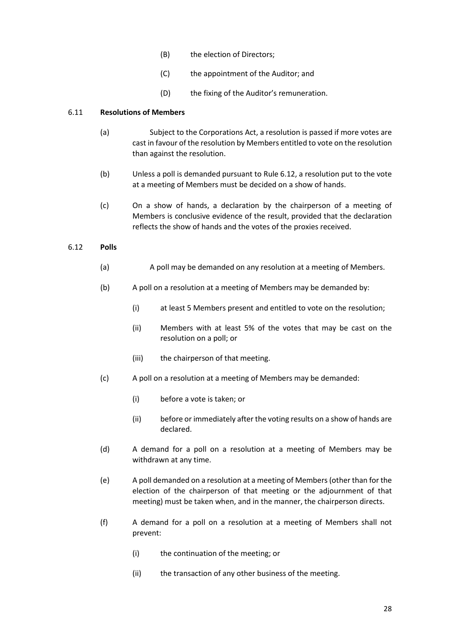- (B) the election of Directors;
- (C) the appointment of the Auditor; and
- (D) the fixing of the Auditor's remuneration.

## 6.11 **Resolutions of Members**

- (a) Subject to the Corporations Act, a resolution is passed if more votes are cast in favour of the resolution by Members entitled to vote on the resolution than against the resolution.
- (b) Unless a poll is demanded pursuant to Rule 6.12, a resolution put to the vote at a meeting of Members must be decided on a show of hands.
- (c) On a show of hands, a declaration by the chairperson of a meeting of Members is conclusive evidence of the result, provided that the declaration reflects the show of hands and the votes of the proxies received.

## 6.12 **Polls**

- (a) A poll may be demanded on any resolution at a meeting of Members.
- (b) A poll on a resolution at a meeting of Members may be demanded by:
	- (i) at least 5 Members present and entitled to vote on the resolution;
	- (ii) Members with at least 5% of the votes that may be cast on the resolution on a poll; or
	- (iii) the chairperson of that meeting.
- (c) A poll on a resolution at a meeting of Members may be demanded:
	- (i) before a vote is taken; or
	- (ii) before or immediately after the voting results on a show of hands are declared.
- (d) A demand for a poll on a resolution at a meeting of Members may be withdrawn at any time.
- (e) A poll demanded on a resolution at a meeting of Members (other than for the election of the chairperson of that meeting or the adjournment of that meeting) must be taken when, and in the manner, the chairperson directs.
- (f) A demand for a poll on a resolution at a meeting of Members shall not prevent:
	- (i) the continuation of the meeting; or
	- (ii) the transaction of any other business of the meeting.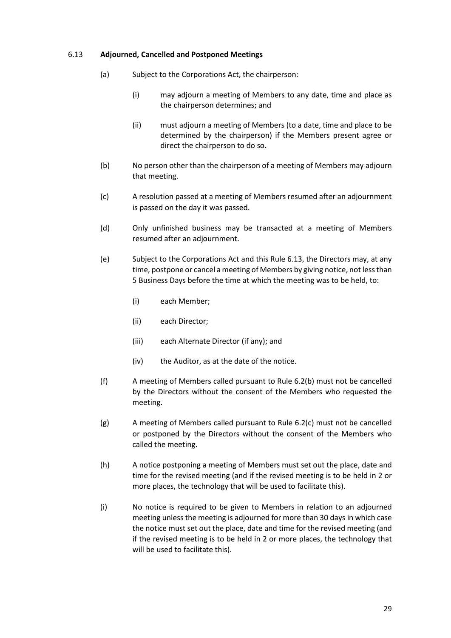#### 6.13 **Adjourned, Cancelled and Postponed Meetings**

- (a) Subject to the Corporations Act, the chairperson:
	- (i) may adjourn a meeting of Members to any date, time and place as the chairperson determines; and
	- (ii) must adjourn a meeting of Members (to a date, time and place to be determined by the chairperson) if the Members present agree or direct the chairperson to do so.
- (b) No person other than the chairperson of a meeting of Members may adjourn that meeting.
- (c) A resolution passed at a meeting of Members resumed after an adjournment is passed on the day it was passed.
- (d) Only unfinished business may be transacted at a meeting of Members resumed after an adjournment.
- (e) Subject to the Corporations Act and this Rule 6.13, the Directors may, at any time, postpone or cancel a meeting of Members by giving notice, not less than 5 Business Days before the time at which the meeting was to be held, to:
	- (i) each Member;
	- (ii) each Director;
	- (iii) each Alternate Director (if any); and
	- (iv) the Auditor, as at the date of the notice.
- (f) A meeting of Members called pursuant to Rule 6.2(b) must not be cancelled by the Directors without the consent of the Members who requested the meeting.
- (g) A meeting of Members called pursuant to Rule 6.2(c) must not be cancelled or postponed by the Directors without the consent of the Members who called the meeting.
- (h) A notice postponing a meeting of Members must set out the place, date and time for the revised meeting (and if the revised meeting is to be held in 2 or more places, the technology that will be used to facilitate this).
- (i) No notice is required to be given to Members in relation to an adjourned meeting unless the meeting is adjourned for more than 30 days in which case the notice must set out the place, date and time for the revised meeting (and if the revised meeting is to be held in 2 or more places, the technology that will be used to facilitate this).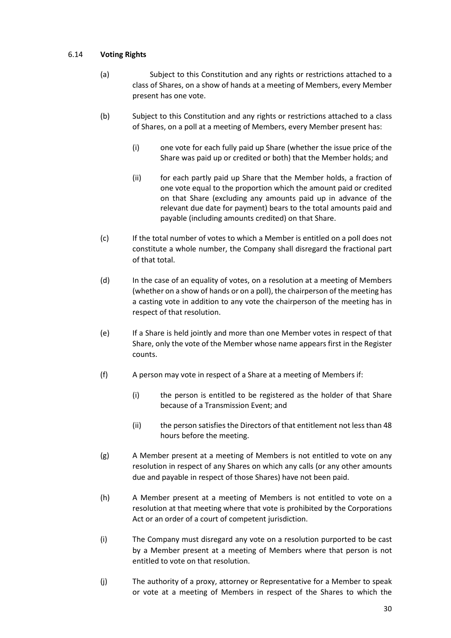# 6.14 **Voting Rights**

- (a) Subject to this Constitution and any rights or restrictions attached to a class of Shares, on a show of hands at a meeting of Members, every Member present has one vote.
- (b) Subject to this Constitution and any rights or restrictions attached to a class of Shares, on a poll at a meeting of Members, every Member present has:
	- (i) one vote for each fully paid up Share (whether the issue price of the Share was paid up or credited or both) that the Member holds; and
	- (ii) for each partly paid up Share that the Member holds, a fraction of one vote equal to the proportion which the amount paid or credited on that Share (excluding any amounts paid up in advance of the relevant due date for payment) bears to the total amounts paid and payable (including amounts credited) on that Share.
- (c) If the total number of votes to which a Member is entitled on a poll does not constitute a whole number, the Company shall disregard the fractional part of that total.
- (d) In the case of an equality of votes, on a resolution at a meeting of Members (whether on a show of hands or on a poll), the chairperson of the meeting has a casting vote in addition to any vote the chairperson of the meeting has in respect of that resolution.
- (e) If a Share is held jointly and more than one Member votes in respect of that Share, only the vote of the Member whose name appears first in the Register counts.
- (f) A person may vote in respect of a Share at a meeting of Members if:
	- (i) the person is entitled to be registered as the holder of that Share because of a Transmission Event; and
	- (ii) the person satisfies the Directors of that entitlement not less than 48 hours before the meeting.
- (g) A Member present at a meeting of Members is not entitled to vote on any resolution in respect of any Shares on which any calls (or any other amounts due and payable in respect of those Shares) have not been paid.
- (h) A Member present at a meeting of Members is not entitled to vote on a resolution at that meeting where that vote is prohibited by the Corporations Act or an order of a court of competent jurisdiction.
- (i) The Company must disregard any vote on a resolution purported to be cast by a Member present at a meeting of Members where that person is not entitled to vote on that resolution.
- (j) The authority of a proxy, attorney or Representative for a Member to speak or vote at a meeting of Members in respect of the Shares to which the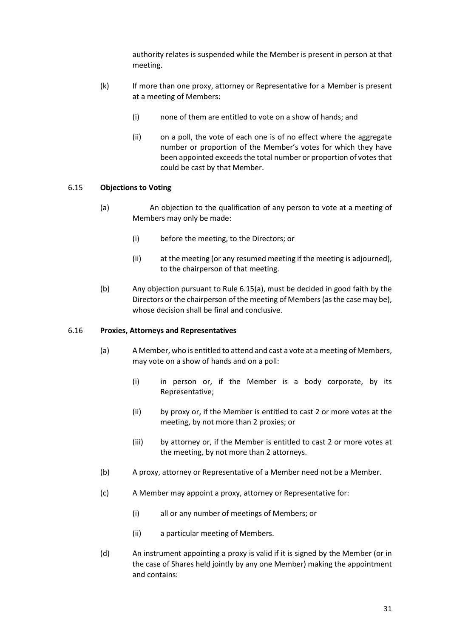authority relates is suspended while the Member is present in person at that meeting.

- (k) If more than one proxy, attorney or Representative for a Member is present at a meeting of Members:
	- (i) none of them are entitled to vote on a show of hands; and
	- (ii) on a poll, the vote of each one is of no effect where the aggregate number or proportion of the Member's votes for which they have been appointed exceeds the total number or proportion of votes that could be cast by that Member.

#### 6.15 **Objections to Voting**

- (a) An objection to the qualification of any person to vote at a meeting of Members may only be made:
	- (i) before the meeting, to the Directors; or
	- (ii) at the meeting (or any resumed meeting if the meeting is adjourned), to the chairperson of that meeting.
- (b) Any objection pursuant to Rule 6.15(a), must be decided in good faith by the Directors or the chairperson of the meeting of Members (as the case may be), whose decision shall be final and conclusive.

## 6.16 **Proxies, Attorneys and Representatives**

- (a) A Member, who is entitled to attend and cast a vote at a meeting of Members, may vote on a show of hands and on a poll:
	- (i) in person or, if the Member is a body corporate, by its Representative;
	- (ii) by proxy or, if the Member is entitled to cast 2 or more votes at the meeting, by not more than 2 proxies; or
	- (iii) by attorney or, if the Member is entitled to cast 2 or more votes at the meeting, by not more than 2 attorneys.
- (b) A proxy, attorney or Representative of a Member need not be a Member.
- (c) A Member may appoint a proxy, attorney or Representative for:
	- (i) all or any number of meetings of Members; or
	- (ii) a particular meeting of Members.
- (d) An instrument appointing a proxy is valid if it is signed by the Member (or in the case of Shares held jointly by any one Member) making the appointment and contains: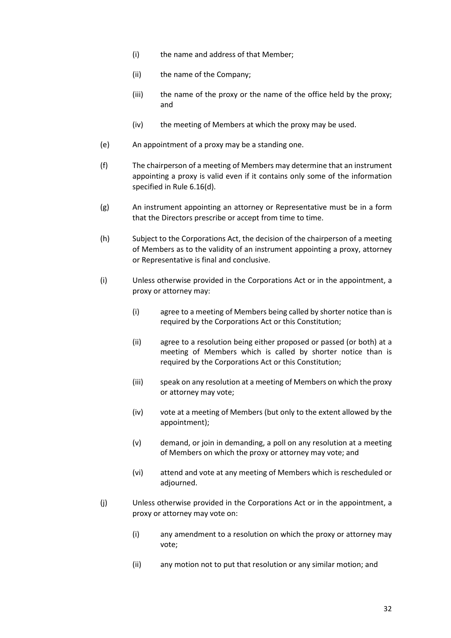- (i) the name and address of that Member;
- (ii) the name of the Company;
- (iii) the name of the proxy or the name of the office held by the proxy; and
- (iv) the meeting of Members at which the proxy may be used.
- (e) An appointment of a proxy may be a standing one.
- (f) The chairperson of a meeting of Members may determine that an instrument appointing a proxy is valid even if it contains only some of the information specified in Rule 6.16(d).
- (g) An instrument appointing an attorney or Representative must be in a form that the Directors prescribe or accept from time to time.
- (h) Subject to the Corporations Act, the decision of the chairperson of a meeting of Members as to the validity of an instrument appointing a proxy, attorney or Representative is final and conclusive.
- (i) Unless otherwise provided in the Corporations Act or in the appointment, a proxy or attorney may:
	- (i) agree to a meeting of Members being called by shorter notice than is required by the Corporations Act or this Constitution;
	- (ii) agree to a resolution being either proposed or passed (or both) at a meeting of Members which is called by shorter notice than is required by the Corporations Act or this Constitution;
	- (iii) speak on any resolution at a meeting of Members on which the proxy or attorney may vote;
	- (iv) vote at a meeting of Members (but only to the extent allowed by the appointment);
	- (v) demand, or join in demanding, a poll on any resolution at a meeting of Members on which the proxy or attorney may vote; and
	- (vi) attend and vote at any meeting of Members which is rescheduled or adjourned.
- (j) Unless otherwise provided in the Corporations Act or in the appointment, a proxy or attorney may vote on:
	- (i) any amendment to a resolution on which the proxy or attorney may vote;
	- (ii) any motion not to put that resolution or any similar motion; and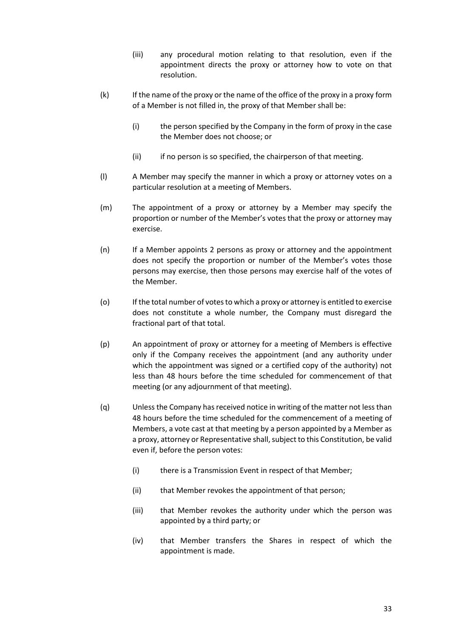- (iii) any procedural motion relating to that resolution, even if the appointment directs the proxy or attorney how to vote on that resolution.
- (k) If the name of the proxy or the name of the office of the proxy in a proxy form of a Member is not filled in, the proxy of that Member shall be:
	- (i) the person specified by the Company in the form of proxy in the case the Member does not choose; or
	- (ii) if no person is so specified, the chairperson of that meeting.
- (l) A Member may specify the manner in which a proxy or attorney votes on a particular resolution at a meeting of Members.
- (m) The appointment of a proxy or attorney by a Member may specify the proportion or number of the Member's votes that the proxy or attorney may exercise.
- (n) If a Member appoints 2 persons as proxy or attorney and the appointment does not specify the proportion or number of the Member's votes those persons may exercise, then those persons may exercise half of the votes of the Member.
- (o) If the total number of votes to which a proxy or attorney is entitled to exercise does not constitute a whole number, the Company must disregard the fractional part of that total.
- (p) An appointment of proxy or attorney for a meeting of Members is effective only if the Company receives the appointment (and any authority under which the appointment was signed or a certified copy of the authority) not less than 48 hours before the time scheduled for commencement of that meeting (or any adjournment of that meeting).
- (q) Unless the Company has received notice in writing of the matter not less than 48 hours before the time scheduled for the commencement of a meeting of Members, a vote cast at that meeting by a person appointed by a Member as a proxy, attorney or Representative shall, subject to this Constitution, be valid even if, before the person votes:
	- (i) there is a Transmission Event in respect of that Member;
	- (ii) that Member revokes the appointment of that person;
	- (iii) that Member revokes the authority under which the person was appointed by a third party; or
	- (iv) that Member transfers the Shares in respect of which the appointment is made.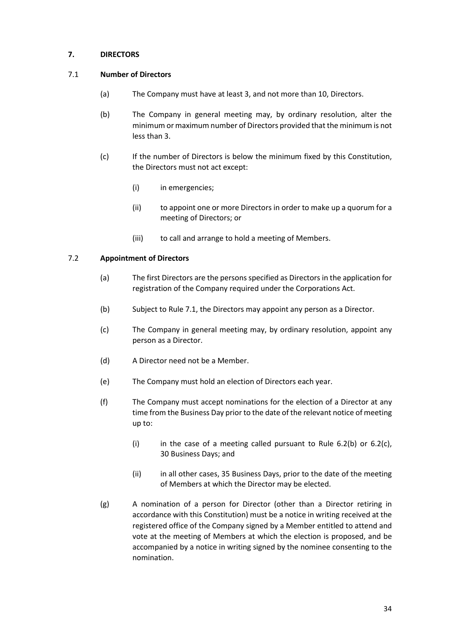# **7. DIRECTORS**

# 7.1 **Number of Directors**

- (a) The Company must have at least 3, and not more than 10, Directors.
- (b) The Company in general meeting may, by ordinary resolution, alter the minimum or maximum number of Directors provided that the minimum is not less than 3.
- (c) If the number of Directors is below the minimum fixed by this Constitution, the Directors must not act except:
	- (i) in emergencies;
	- (ii) to appoint one or more Directors in order to make up a quorum for a meeting of Directors; or
	- (iii) to call and arrange to hold a meeting of Members.

## 7.2 **Appointment of Directors**

- (a) The first Directors are the persons specified as Directors in the application for registration of the Company required under the Corporations Act.
- (b) Subject to Rule 7.1, the Directors may appoint any person as a Director.
- (c) The Company in general meeting may, by ordinary resolution, appoint any person as a Director.
- (d) A Director need not be a Member.
- (e) The Company must hold an election of Directors each year.
- (f) The Company must accept nominations for the election of a Director at any time from the Business Day prior to the date of the relevant notice of meeting up to:
	- (i) in the case of a meeting called pursuant to Rule  $6.2(b)$  or  $6.2(c)$ , 30 Business Days; and
	- (ii) in all other cases, 35 Business Days, prior to the date of the meeting of Members at which the Director may be elected.
- (g) A nomination of a person for Director (other than a Director retiring in accordance with this Constitution) must be a notice in writing received at the registered office of the Company signed by a Member entitled to attend and vote at the meeting of Members at which the election is proposed, and be accompanied by a notice in writing signed by the nominee consenting to the nomination.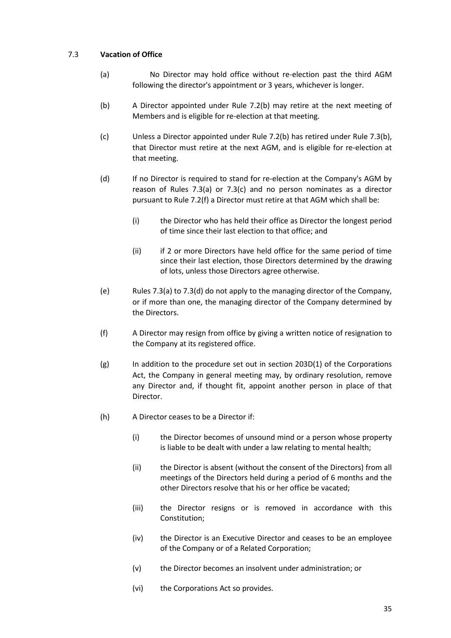## 7.3 **Vacation of Office**

- (a) No Director may hold office without re-election past the third AGM following the director's appointment or 3 years, whichever is longer.
- (b) A Director appointed under Rule 7.2(b) may retire at the next meeting of Members and is eligible for re-election at that meeting.
- (c) Unless a Director appointed under Rule 7.2(b) has retired under Rule 7.3(b), that Director must retire at the next AGM, and is eligible for re-election at that meeting.
- (d) If no Director is required to stand for re-election at the Company's AGM by reason of Rules 7.3(a) or 7.3(c) and no person nominates as a director pursuant to Rule 7.2(f) a Director must retire at that AGM which shall be:
	- (i) the Director who has held their office as Director the longest period of time since their last election to that office; and
	- (ii) if 2 or more Directors have held office for the same period of time since their last election, those Directors determined by the drawing of lots, unless those Directors agree otherwise.
- (e) Rules 7.3(a) to 7.3(d) do not apply to the managing director of the Company, or if more than one, the managing director of the Company determined by the Directors.
- (f) A Director may resign from office by giving a written notice of resignation to the Company at its registered office.
- (g) In addition to the procedure set out in section 203D(1) of the Corporations Act, the Company in general meeting may, by ordinary resolution, remove any Director and, if thought fit, appoint another person in place of that Director.
- (h) A Director ceases to be a Director if:
	- (i) the Director becomes of unsound mind or a person whose property is liable to be dealt with under a law relating to mental health;
	- (ii) the Director is absent (without the consent of the Directors) from all meetings of the Directors held during a period of 6 months and the other Directors resolve that his or her office be vacated;
	- (iii) the Director resigns or is removed in accordance with this Constitution;
	- (iv) the Director is an Executive Director and ceases to be an employee of the Company or of a Related Corporation;
	- (v) the Director becomes an insolvent under administration; or
	- (vi) the Corporations Act so provides.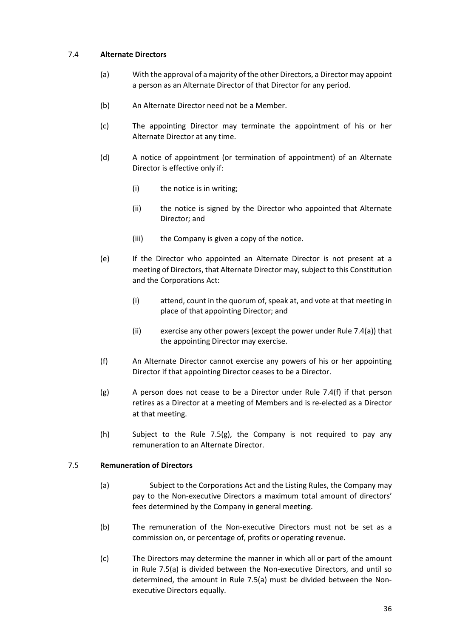## 7.4 **Alternate Directors**

- (a) With the approval of a majority of the other Directors, a Director may appoint a person as an Alternate Director of that Director for any period.
- (b) An Alternate Director need not be a Member.
- (c) The appointing Director may terminate the appointment of his or her Alternate Director at any time.
- (d) A notice of appointment (or termination of appointment) of an Alternate Director is effective only if:
	- (i) the notice is in writing;
	- (ii) the notice is signed by the Director who appointed that Alternate Director; and
	- (iii) the Company is given a copy of the notice.
- (e) If the Director who appointed an Alternate Director is not present at a meeting of Directors, that Alternate Director may, subject to this Constitution and the Corporations Act:
	- (i) attend, count in the quorum of, speak at, and vote at that meeting in place of that appointing Director; and
	- (ii) exercise any other powers (except the power under Rule 7.4(a)) that the appointing Director may exercise.
- (f) An Alternate Director cannot exercise any powers of his or her appointing Director if that appointing Director ceases to be a Director.
- $(g)$  A person does not cease to be a Director under Rule 7.4(f) if that person retires as a Director at a meeting of Members and is re-elected as a Director at that meeting.
- (h) Subject to the Rule 7.5(g), the Company is not required to pay any remuneration to an Alternate Director.

#### 7.5 **Remuneration of Directors**

- (a) Subject to the Corporations Act and the Listing Rules, the Company may pay to the Non-executive Directors a maximum total amount of directors' fees determined by the Company in general meeting.
- (b) The remuneration of the Non-executive Directors must not be set as a commission on, or percentage of, profits or operating revenue.
- (c) The Directors may determine the manner in which all or part of the amount in Rule 7.5(a) is divided between the Non-executive Directors, and until so determined, the amount in Rule 7.5(a) must be divided between the Nonexecutive Directors equally.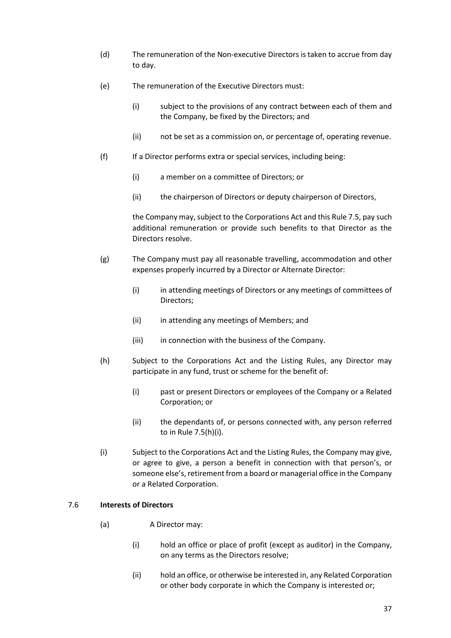- (d) The remuneration of the Non-executive Directors is taken to accrue from day to day.
- (e) The remuneration of the Executive Directors must:
	- (i) subject to the provisions of any contract between each of them and the Company, be fixed by the Directors; and
	- (ii) not be set as a commission on, or percentage of, operating revenue.
- (f) If a Director performs extra or special services, including being:
	- (i) a member on a committee of Directors; or
	- (ii) the chairperson of Directors or deputy chairperson of Directors,

the Company may, subject to the Corporations Act and this Rule 7.5, pay such additional remuneration or provide such benefits to that Director as the Directors resolve.

- (g) The Company must pay all reasonable travelling, accommodation and other expenses properly incurred by a Director or Alternate Director:
	- (i) in attending meetings of Directors or any meetings of committees of Directors;
	- (ii) in attending any meetings of Members; and
	- (iii) in connection with the business of the Company.
- (h) Subject to the Corporations Act and the Listing Rules, any Director may participate in any fund, trust or scheme for the benefit of:
	- (i) past or present Directors or employees of the Company or a Related Corporation; or
	- (ii) the dependants of, or persons connected with, any person referred to in Rule 7.5(h)(i).
- (i) Subject to the Corporations Act and the Listing Rules, the Company may give, or agree to give, a person a benefit in connection with that person's, or someone else's, retirement from a board or managerial office in the Company or a Related Corporation.

### 7.6 **Interests of Directors**

- (a) A Director may:
	- (i) hold an office or place of profit (except as auditor) in the Company, on any terms as the Directors resolve;
	- (ii) hold an office, or otherwise be interested in, any Related Corporation or other body corporate in which the Company is interested or;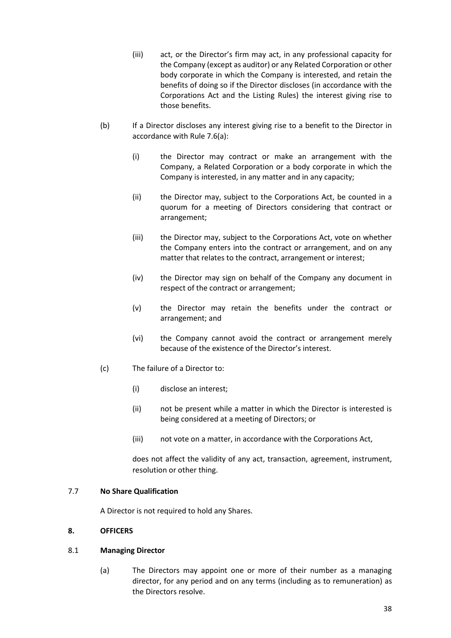- (iii) act, or the Director's firm may act, in any professional capacity for the Company (except as auditor) or any Related Corporation or other body corporate in which the Company is interested, and retain the benefits of doing so if the Director discloses (in accordance with the Corporations Act and the Listing Rules) the interest giving rise to those benefits.
- (b) If a Director discloses any interest giving rise to a benefit to the Director in accordance with Rule 7.6(a):
	- (i) the Director may contract or make an arrangement with the Company, a Related Corporation or a body corporate in which the Company is interested, in any matter and in any capacity;
	- (ii) the Director may, subject to the Corporations Act, be counted in a quorum for a meeting of Directors considering that contract or arrangement;
	- (iii) the Director may, subject to the Corporations Act, vote on whether the Company enters into the contract or arrangement, and on any matter that relates to the contract, arrangement or interest;
	- (iv) the Director may sign on behalf of the Company any document in respect of the contract or arrangement;
	- (v) the Director may retain the benefits under the contract or arrangement; and
	- (vi) the Company cannot avoid the contract or arrangement merely because of the existence of the Director's interest.
- (c) The failure of a Director to:
	- (i) disclose an interest;
	- (ii) not be present while a matter in which the Director is interested is being considered at a meeting of Directors; or
	- (iii) not vote on a matter, in accordance with the Corporations Act,

does not affect the validity of any act, transaction, agreement, instrument, resolution or other thing.

#### 7.7 **No Share Qualification**

A Director is not required to hold any Shares.

## **8. OFFICERS**

#### 8.1 **Managing Director**

(a) The Directors may appoint one or more of their number as a managing director, for any period and on any terms (including as to remuneration) as the Directors resolve.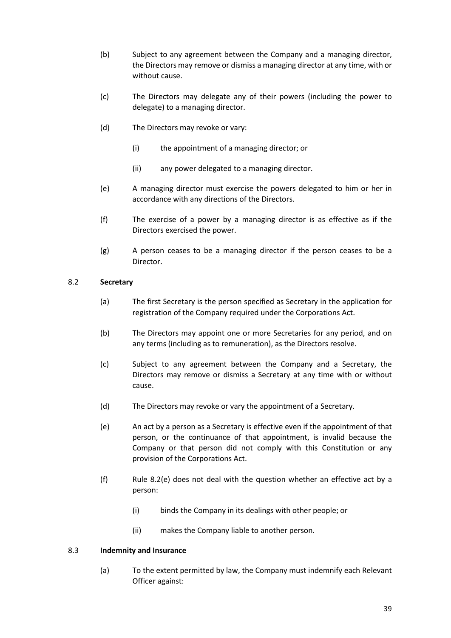- (b) Subject to any agreement between the Company and a managing director, the Directors may remove or dismiss a managing director at any time, with or without cause.
- (c) The Directors may delegate any of their powers (including the power to delegate) to a managing director.
- (d) The Directors may revoke or vary:
	- (i) the appointment of a managing director; or
	- (ii) any power delegated to a managing director.
- (e) A managing director must exercise the powers delegated to him or her in accordance with any directions of the Directors.
- (f) The exercise of a power by a managing director is as effective as if the Directors exercised the power.
- (g) A person ceases to be a managing director if the person ceases to be a Director.

## 8.2 **Secretary**

- (a) The first Secretary is the person specified as Secretary in the application for registration of the Company required under the Corporations Act.
- (b) The Directors may appoint one or more Secretaries for any period, and on any terms (including as to remuneration), as the Directors resolve.
- (c) Subject to any agreement between the Company and a Secretary, the Directors may remove or dismiss a Secretary at any time with or without cause.
- (d) The Directors may revoke or vary the appointment of a Secretary.
- (e) An act by a person as a Secretary is effective even if the appointment of that person, or the continuance of that appointment, is invalid because the Company or that person did not comply with this Constitution or any provision of the Corporations Act.
- (f) Rule 8.2(e) does not deal with the question whether an effective act by a person:
	- (i) binds the Company in its dealings with other people; or
	- (ii) makes the Company liable to another person.

#### 8.3 **Indemnity and Insurance**

(a) To the extent permitted by law, the Company must indemnify each Relevant Officer against: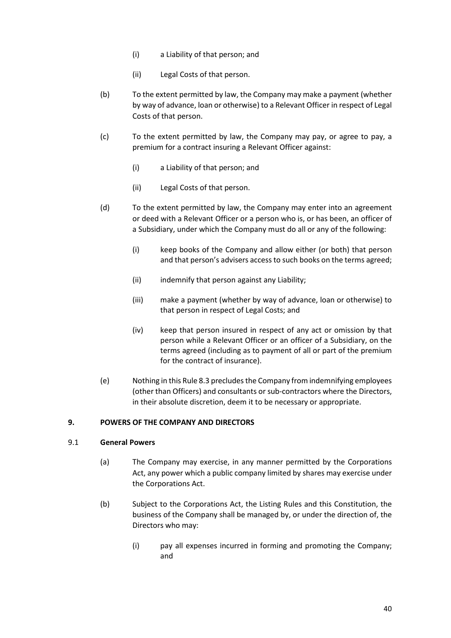- (i) a Liability of that person; and
- (ii) Legal Costs of that person.
- (b) To the extent permitted by law, the Company may make a payment (whether by way of advance, loan or otherwise) to a Relevant Officer in respect of Legal Costs of that person.
- (c) To the extent permitted by law, the Company may pay, or agree to pay, a premium for a contract insuring a Relevant Officer against:
	- (i) a Liability of that person; and
	- (ii) Legal Costs of that person.
- (d) To the extent permitted by law, the Company may enter into an agreement or deed with a Relevant Officer or a person who is, or has been, an officer of a Subsidiary, under which the Company must do all or any of the following:
	- (i) keep books of the Company and allow either (or both) that person and that person's advisers access to such books on the terms agreed;
	- (ii) indemnify that person against any Liability;
	- (iii) make a payment (whether by way of advance, loan or otherwise) to that person in respect of Legal Costs; and
	- (iv) keep that person insured in respect of any act or omission by that person while a Relevant Officer or an officer of a Subsidiary, on the terms agreed (including as to payment of all or part of the premium for the contract of insurance).
- (e) Nothing in this Rule 8.3 precludes the Company from indemnifying employees (other than Officers) and consultants or sub-contractors where the Directors, in their absolute discretion, deem it to be necessary or appropriate.

#### **9. POWERS OF THE COMPANY AND DIRECTORS**

#### 9.1 **General Powers**

- (a) The Company may exercise, in any manner permitted by the Corporations Act, any power which a public company limited by shares may exercise under the Corporations Act.
- (b) Subject to the Corporations Act, the Listing Rules and this Constitution, the business of the Company shall be managed by, or under the direction of, the Directors who may:
	- (i) pay all expenses incurred in forming and promoting the Company; and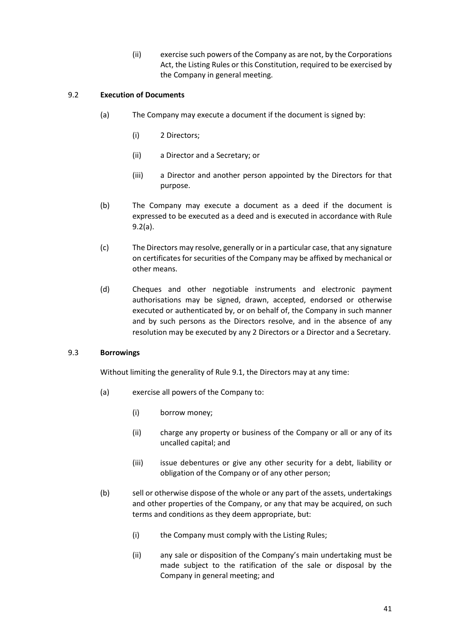(ii) exercise such powers of the Company as are not, by the Corporations Act, the Listing Rules or this Constitution, required to be exercised by the Company in general meeting.

# 9.2 **Execution of Documents**

- (a) The Company may execute a document if the document is signed by:
	- (i) 2 Directors;
	- (ii) a Director and a Secretary; or
	- (iii) a Director and another person appointed by the Directors for that purpose.
- (b) The Company may execute a document as a deed if the document is expressed to be executed as a deed and is executed in accordance with Rule 9.2(a).
- (c) The Directors may resolve, generally or in a particular case, that any signature on certificates for securities of the Company may be affixed by mechanical or other means.
- (d) Cheques and other negotiable instruments and electronic payment authorisations may be signed, drawn, accepted, endorsed or otherwise executed or authenticated by, or on behalf of, the Company in such manner and by such persons as the Directors resolve, and in the absence of any resolution may be executed by any 2 Directors or a Director and a Secretary.

#### 9.3 **Borrowings**

Without limiting the generality of Rule 9.1, the Directors may at any time:

- (a) exercise all powers of the Company to:
	- (i) borrow money;
	- (ii) charge any property or business of the Company or all or any of its uncalled capital; and
	- (iii) issue debentures or give any other security for a debt, liability or obligation of the Company or of any other person;
- (b) sell or otherwise dispose of the whole or any part of the assets, undertakings and other properties of the Company, or any that may be acquired, on such terms and conditions as they deem appropriate, but:
	- (i) the Company must comply with the Listing Rules;
	- (ii) any sale or disposition of the Company's main undertaking must be made subject to the ratification of the sale or disposal by the Company in general meeting; and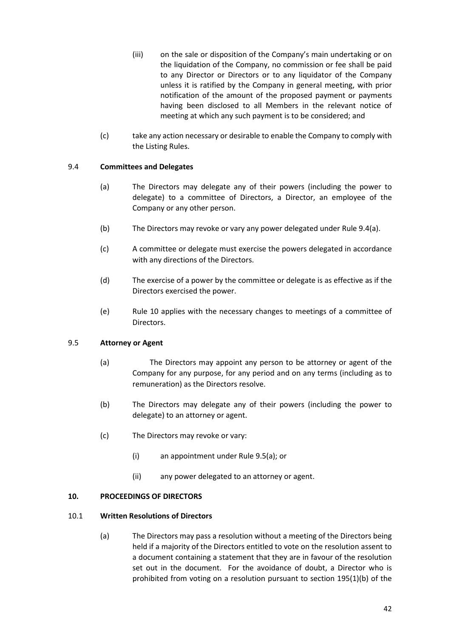- (iii) on the sale or disposition of the Company's main undertaking or on the liquidation of the Company, no commission or fee shall be paid to any Director or Directors or to any liquidator of the Company unless it is ratified by the Company in general meeting, with prior notification of the amount of the proposed payment or payments having been disclosed to all Members in the relevant notice of meeting at which any such payment is to be considered; and
- (c) take any action necessary or desirable to enable the Company to comply with the Listing Rules.

## 9.4 **Committees and Delegates**

- (a) The Directors may delegate any of their powers (including the power to delegate) to a committee of Directors, a Director, an employee of the Company or any other person.
- (b) The Directors may revoke or vary any power delegated under Rule 9.4(a).
- (c) A committee or delegate must exercise the powers delegated in accordance with any directions of the Directors.
- (d) The exercise of a power by the committee or delegate is as effective as if the Directors exercised the power.
- (e) Rule 10 applies with the necessary changes to meetings of a committee of Directors.

# 9.5 **Attorney or Agent**

- (a) The Directors may appoint any person to be attorney or agent of the Company for any purpose, for any period and on any terms (including as to remuneration) as the Directors resolve.
- (b) The Directors may delegate any of their powers (including the power to delegate) to an attorney or agent.
- (c) The Directors may revoke or vary:
	- (i) an appointment under Rule 9.5(a); or
	- (ii) any power delegated to an attorney or agent.

# **10. PROCEEDINGS OF DIRECTORS**

#### 10.1 **Written Resolutions of Directors**

(a) The Directors may pass a resolution without a meeting of the Directors being held if a majority of the Directors entitled to vote on the resolution assent to a document containing a statement that they are in favour of the resolution set out in the document. For the avoidance of doubt, a Director who is prohibited from voting on a resolution pursuant to section 195(1)(b) of the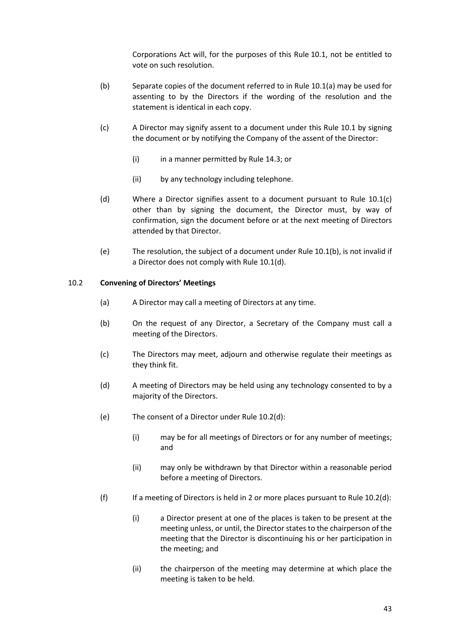Corporations Act will, for the purposes of this Rule 10.1, not be entitled to vote on such resolution.

- (b) Separate copies of the document referred to in Rule 10.1(a) may be used for assenting to by the Directors if the wording of the resolution and the statement is identical in each copy.
- (c) A Director may signify assent to a document under this Rule 10.1 by signing the document or by notifying the Company of the assent of the Director:
	- (i) in a manner permitted by Rule 14.3; or
	- (ii) by any technology including telephone.
- (d) Where a Director signifies assent to a document pursuant to Rule 10.1(c) other than by signing the document, the Director must, by way of confirmation, sign the document before or at the next meeting of Directors attended by that Director.
- (e) The resolution, the subject of a document under Rule 10.1(b), is not invalid if a Director does not comply with Rule 10.1(d).

#### 10.2 **Convening of Directors' Meetings**

- (a) A Director may call a meeting of Directors at any time.
- (b) On the request of any Director, a Secretary of the Company must call a meeting of the Directors.
- (c) The Directors may meet, adjourn and otherwise regulate their meetings as they think fit.
- (d) A meeting of Directors may be held using any technology consented to by a majority of the Directors.
- (e) The consent of a Director under Rule 10.2(d):
	- (i) may be for all meetings of Directors or for any number of meetings; and
	- (ii) may only be withdrawn by that Director within a reasonable period before a meeting of Directors.
- (f) If a meeting of Directors is held in 2 or more places pursuant to Rule  $10.2$ (d):
	- (i) a Director present at one of the places is taken to be present at the meeting unless, or until, the Director states to the chairperson of the meeting that the Director is discontinuing his or her participation in the meeting; and
	- (ii) the chairperson of the meeting may determine at which place the meeting is taken to be held.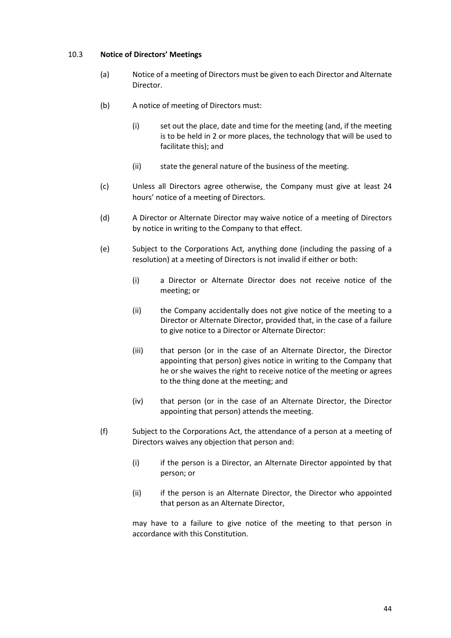## 10.3 **Notice of Directors' Meetings**

- (a) Notice of a meeting of Directors must be given to each Director and Alternate Director.
- (b) A notice of meeting of Directors must:
	- (i) set out the place, date and time for the meeting (and, if the meeting is to be held in 2 or more places, the technology that will be used to facilitate this); and
	- (ii) state the general nature of the business of the meeting.
- (c) Unless all Directors agree otherwise, the Company must give at least 24 hours' notice of a meeting of Directors.
- (d) A Director or Alternate Director may waive notice of a meeting of Directors by notice in writing to the Company to that effect.
- (e) Subject to the Corporations Act, anything done (including the passing of a resolution) at a meeting of Directors is not invalid if either or both:
	- (i) a Director or Alternate Director does not receive notice of the meeting; or
	- (ii) the Company accidentally does not give notice of the meeting to a Director or Alternate Director, provided that, in the case of a failure to give notice to a Director or Alternate Director:
	- (iii) that person (or in the case of an Alternate Director, the Director appointing that person) gives notice in writing to the Company that he or she waives the right to receive notice of the meeting or agrees to the thing done at the meeting; and
	- (iv) that person (or in the case of an Alternate Director, the Director appointing that person) attends the meeting.
- (f) Subject to the Corporations Act, the attendance of a person at a meeting of Directors waives any objection that person and:
	- (i) if the person is a Director, an Alternate Director appointed by that person; or
	- (ii) if the person is an Alternate Director, the Director who appointed that person as an Alternate Director,

may have to a failure to give notice of the meeting to that person in accordance with this Constitution.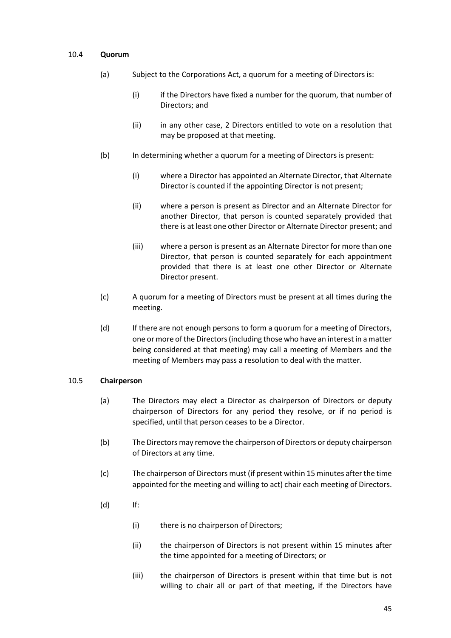#### 10.4 **Quorum**

- (a) Subject to the Corporations Act, a quorum for a meeting of Directors is:
	- (i) if the Directors have fixed a number for the quorum, that number of Directors; and
	- (ii) in any other case, 2 Directors entitled to vote on a resolution that may be proposed at that meeting.
- (b) In determining whether a quorum for a meeting of Directors is present:
	- (i) where a Director has appointed an Alternate Director, that Alternate Director is counted if the appointing Director is not present;
	- (ii) where a person is present as Director and an Alternate Director for another Director, that person is counted separately provided that there is at least one other Director or Alternate Director present; and
	- (iii) where a person is present as an Alternate Director for more than one Director, that person is counted separately for each appointment provided that there is at least one other Director or Alternate Director present.
- (c) A quorum for a meeting of Directors must be present at all times during the meeting.
- (d) If there are not enough persons to form a quorum for a meeting of Directors, one or more of the Directors (including those who have an interest in a matter being considered at that meeting) may call a meeting of Members and the meeting of Members may pass a resolution to deal with the matter.

#### 10.5 **Chairperson**

- (a) The Directors may elect a Director as chairperson of Directors or deputy chairperson of Directors for any period they resolve, or if no period is specified, until that person ceases to be a Director.
- (b) The Directors may remove the chairperson of Directors or deputy chairperson of Directors at any time.
- (c) The chairperson of Directors must (if present within 15 minutes after the time appointed for the meeting and willing to act) chair each meeting of Directors.
- (d) If:
	- (i) there is no chairperson of Directors;
	- (ii) the chairperson of Directors is not present within 15 minutes after the time appointed for a meeting of Directors; or
	- (iii) the chairperson of Directors is present within that time but is not willing to chair all or part of that meeting, if the Directors have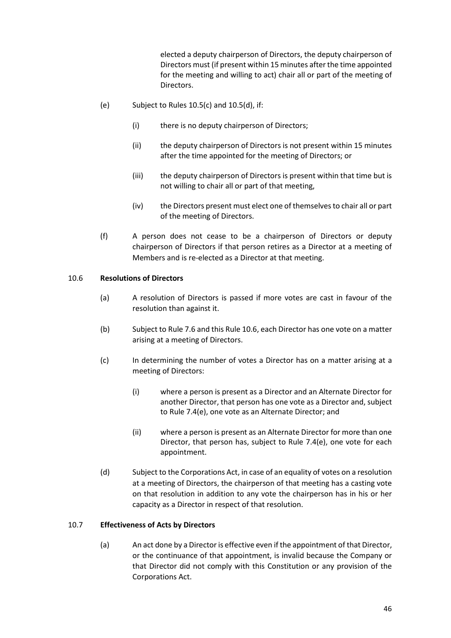elected a deputy chairperson of Directors, the deputy chairperson of Directors must (if present within 15 minutes after the time appointed for the meeting and willing to act) chair all or part of the meeting of Directors.

- (e) Subject to Rules  $10.5(c)$  and  $10.5(d)$ , if:
	- (i) there is no deputy chairperson of Directors;
	- (ii) the deputy chairperson of Directors is not present within 15 minutes after the time appointed for the meeting of Directors; or
	- (iii) the deputy chairperson of Directors is present within that time but is not willing to chair all or part of that meeting,
	- (iv) the Directors present must elect one of themselves to chair all or part of the meeting of Directors.
- (f) A person does not cease to be a chairperson of Directors or deputy chairperson of Directors if that person retires as a Director at a meeting of Members and is re-elected as a Director at that meeting.

## 10.6 **Resolutions of Directors**

- (a) A resolution of Directors is passed if more votes are cast in favour of the resolution than against it.
- (b) Subject to Rule 7.6 and this Rule 10.6, each Director has one vote on a matter arising at a meeting of Directors.
- (c) In determining the number of votes a Director has on a matter arising at a meeting of Directors:
	- (i) where a person is present as a Director and an Alternate Director for another Director, that person has one vote as a Director and, subject to Rule 7.4(e), one vote as an Alternate Director; and
	- (ii) where a person is present as an Alternate Director for more than one Director, that person has, subject to Rule 7.4(e), one vote for each appointment.
- (d) Subject to the Corporations Act, in case of an equality of votes on a resolution at a meeting of Directors, the chairperson of that meeting has a casting vote on that resolution in addition to any vote the chairperson has in his or her capacity as a Director in respect of that resolution.

#### 10.7 **Effectiveness of Acts by Directors**

(a) An act done by a Director is effective even if the appointment of that Director, or the continuance of that appointment, is invalid because the Company or that Director did not comply with this Constitution or any provision of the Corporations Act.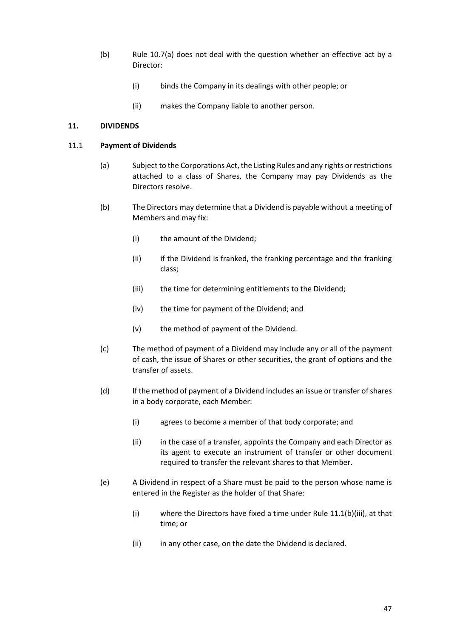- (b) Rule 10.7(a) does not deal with the question whether an effective act by a Director:
	- (i) binds the Company in its dealings with other people; or
	- (ii) makes the Company liable to another person.

## **11. DIVIDENDS**

#### 11.1 **Payment of Dividends**

- (a) Subject to the Corporations Act, the Listing Rules and any rights or restrictions attached to a class of Shares, the Company may pay Dividends as the Directors resolve.
- (b) The Directors may determine that a Dividend is payable without a meeting of Members and may fix:
	- (i) the amount of the Dividend;
	- (ii) if the Dividend is franked, the franking percentage and the franking class;
	- (iii) the time for determining entitlements to the Dividend;
	- (iv) the time for payment of the Dividend; and
	- (v) the method of payment of the Dividend.
- (c) The method of payment of a Dividend may include any or all of the payment of cash, the issue of Shares or other securities, the grant of options and the transfer of assets.
- (d) If the method of payment of a Dividend includes an issue or transfer of shares in a body corporate, each Member:
	- (i) agrees to become a member of that body corporate; and
	- (ii) in the case of a transfer, appoints the Company and each Director as its agent to execute an instrument of transfer or other document required to transfer the relevant shares to that Member.
- (e) A Dividend in respect of a Share must be paid to the person whose name is entered in the Register as the holder of that Share:
	- (i) where the Directors have fixed a time under Rule 11.1(b)(iii), at that time; or
	- (ii) in any other case, on the date the Dividend is declared.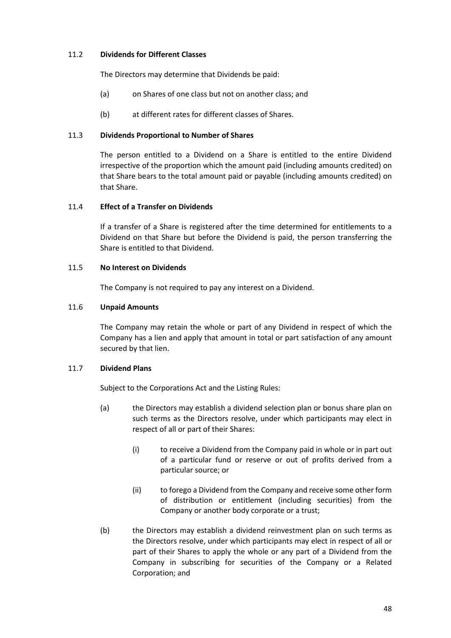## 11.2 **Dividends for Different Classes**

The Directors may determine that Dividends be paid:

- (a) on Shares of one class but not on another class; and
- (b) at different rates for different classes of Shares.

## 11.3 **Dividends Proportional to Number of Shares**

The person entitled to a Dividend on a Share is entitled to the entire Dividend irrespective of the proportion which the amount paid (including amounts credited) on that Share bears to the total amount paid or payable (including amounts credited) on that Share.

## 11.4 **Effect of a Transfer on Dividends**

If a transfer of a Share is registered after the time determined for entitlements to a Dividend on that Share but before the Dividend is paid, the person transferring the Share is entitled to that Dividend.

## 11.5 **No Interest on Dividends**

The Company is not required to pay any interest on a Dividend.

## 11.6 **Unpaid Amounts**

The Company may retain the whole or part of any Dividend in respect of which the Company has a lien and apply that amount in total or part satisfaction of any amount secured by that lien.

# 11.7 **Dividend Plans**

Subject to the Corporations Act and the Listing Rules:

- (a) the Directors may establish a dividend selection plan or bonus share plan on such terms as the Directors resolve, under which participants may elect in respect of all or part of their Shares:
	- (i) to receive a Dividend from the Company paid in whole or in part out of a particular fund or reserve or out of profits derived from a particular source; or
	- (ii) to forego a Dividend from the Company and receive some other form of distribution or entitlement (including securities) from the Company or another body corporate or a trust;
- (b) the Directors may establish a dividend reinvestment plan on such terms as the Directors resolve, under which participants may elect in respect of all or part of their Shares to apply the whole or any part of a Dividend from the Company in subscribing for securities of the Company or a Related Corporation; and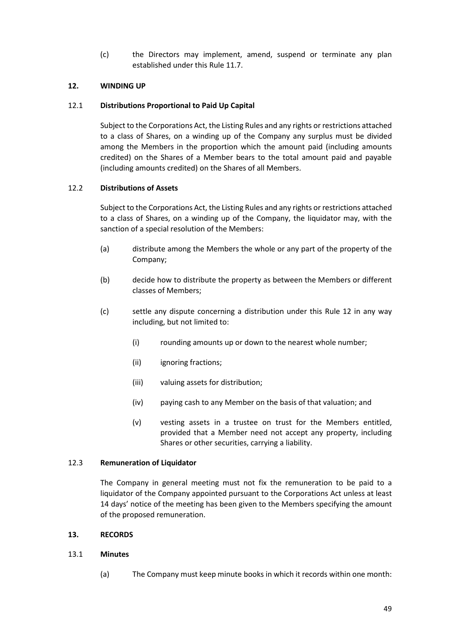(c) the Directors may implement, amend, suspend or terminate any plan established under this Rule 11.7.

## **12. WINDING UP**

#### 12.1 **Distributions Proportional to Paid Up Capital**

Subject to the Corporations Act, the Listing Rules and any rights or restrictions attached to a class of Shares, on a winding up of the Company any surplus must be divided among the Members in the proportion which the amount paid (including amounts credited) on the Shares of a Member bears to the total amount paid and payable (including amounts credited) on the Shares of all Members.

#### 12.2 **Distributions of Assets**

Subject to the Corporations Act, the Listing Rules and any rights or restrictions attached to a class of Shares, on a winding up of the Company, the liquidator may, with the sanction of a special resolution of the Members:

- (a) distribute among the Members the whole or any part of the property of the Company;
- (b) decide how to distribute the property as between the Members or different classes of Members;
- (c) settle any dispute concerning a distribution under this Rule 12 in any way including, but not limited to:
	- (i) rounding amounts up or down to the nearest whole number;
	- (ii) ignoring fractions;
	- (iii) valuing assets for distribution;
	- (iv) paying cash to any Member on the basis of that valuation; and
	- (v) vesting assets in a trustee on trust for the Members entitled, provided that a Member need not accept any property, including Shares or other securities, carrying a liability.

#### 12.3 **Remuneration of Liquidator**

The Company in general meeting must not fix the remuneration to be paid to a liquidator of the Company appointed pursuant to the Corporations Act unless at least 14 days' notice of the meeting has been given to the Members specifying the amount of the proposed remuneration.

#### **13. RECORDS**

#### 13.1 **Minutes**

(a) The Company must keep minute books in which it records within one month: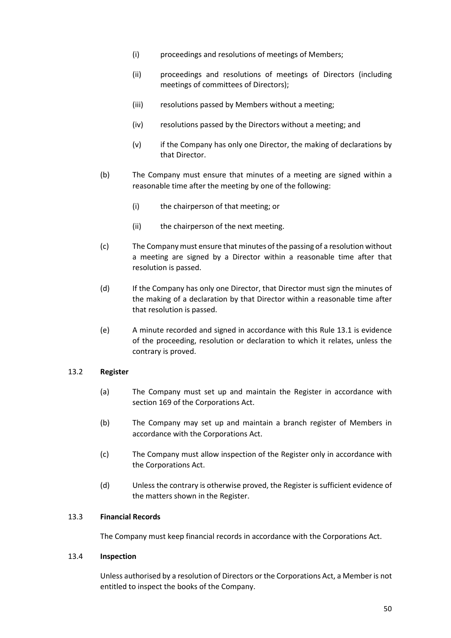- (i) proceedings and resolutions of meetings of Members;
- (ii) proceedings and resolutions of meetings of Directors (including meetings of committees of Directors);
- (iii) resolutions passed by Members without a meeting;
- (iv) resolutions passed by the Directors without a meeting; and
- (v) if the Company has only one Director, the making of declarations by that Director.
- (b) The Company must ensure that minutes of a meeting are signed within a reasonable time after the meeting by one of the following:
	- (i) the chairperson of that meeting; or
	- (ii) the chairperson of the next meeting.
- (c) The Company must ensure that minutes of the passing of a resolution without a meeting are signed by a Director within a reasonable time after that resolution is passed.
- (d) If the Company has only one Director, that Director must sign the minutes of the making of a declaration by that Director within a reasonable time after that resolution is passed.
- (e) A minute recorded and signed in accordance with this Rule 13.1 is evidence of the proceeding, resolution or declaration to which it relates, unless the contrary is proved.

#### 13.2 **Register**

- (a) The Company must set up and maintain the Register in accordance with section 169 of the Corporations Act.
- (b) The Company may set up and maintain a branch register of Members in accordance with the Corporations Act.
- (c) The Company must allow inspection of the Register only in accordance with the Corporations Act.
- (d) Unless the contrary is otherwise proved, the Register is sufficient evidence of the matters shown in the Register.

#### 13.3 **Financial Records**

The Company must keep financial records in accordance with the Corporations Act.

#### 13.4 **Inspection**

Unless authorised by a resolution of Directors or the Corporations Act, a Member is not entitled to inspect the books of the Company.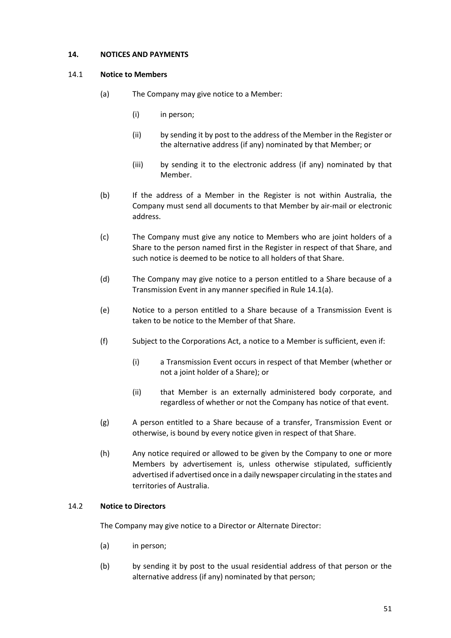## **14. NOTICES AND PAYMENTS**

#### 14.1 **Notice to Members**

- (a) The Company may give notice to a Member:
	- (i) in person;
	- (ii) by sending it by post to the address of the Member in the Register or the alternative address (if any) nominated by that Member; or
	- (iii) by sending it to the electronic address (if any) nominated by that Member.
- (b) If the address of a Member in the Register is not within Australia, the Company must send all documents to that Member by air-mail or electronic address.
- (c) The Company must give any notice to Members who are joint holders of a Share to the person named first in the Register in respect of that Share, and such notice is deemed to be notice to all holders of that Share.
- (d) The Company may give notice to a person entitled to a Share because of a Transmission Event in any manner specified in Rule 14.1(a).
- (e) Notice to a person entitled to a Share because of a Transmission Event is taken to be notice to the Member of that Share.
- (f) Subject to the Corporations Act, a notice to a Member is sufficient, even if:
	- (i) a Transmission Event occurs in respect of that Member (whether or not a joint holder of a Share); or
	- (ii) that Member is an externally administered body corporate, and regardless of whether or not the Company has notice of that event.
- (g) A person entitled to a Share because of a transfer, Transmission Event or otherwise, is bound by every notice given in respect of that Share.
- (h) Any notice required or allowed to be given by the Company to one or more Members by advertisement is, unless otherwise stipulated, sufficiently advertised if advertised once in a daily newspaper circulating in the states and territories of Australia.

#### 14.2 **Notice to Directors**

The Company may give notice to a Director or Alternate Director:

- (a) in person;
- (b) by sending it by post to the usual residential address of that person or the alternative address (if any) nominated by that person;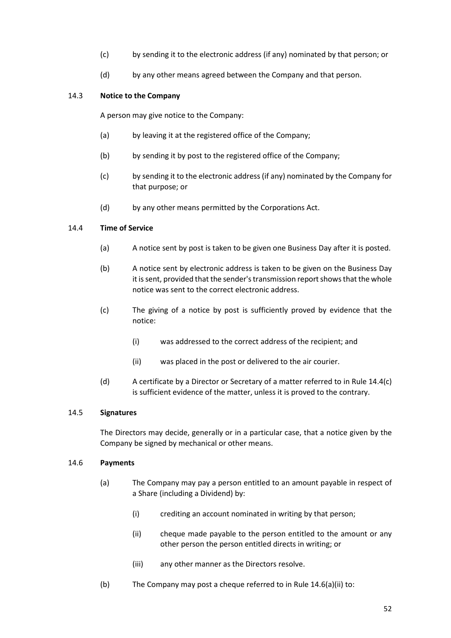- (c) by sending it to the electronic address (if any) nominated by that person; or
- (d) by any other means agreed between the Company and that person.

## 14.3 **Notice to the Company**

A person may give notice to the Company:

- (a) by leaving it at the registered office of the Company;
- (b) by sending it by post to the registered office of the Company;
- (c) by sending it to the electronic address (if any) nominated by the Company for that purpose; or
- (d) by any other means permitted by the Corporations Act.

## 14.4 **Time of Service**

- (a) A notice sent by post is taken to be given one Business Day after it is posted.
- (b) A notice sent by electronic address is taken to be given on the Business Day it is sent, provided that the sender's transmission report shows that the whole notice was sent to the correct electronic address.
- (c) The giving of a notice by post is sufficiently proved by evidence that the notice:
	- (i) was addressed to the correct address of the recipient; and
	- (ii) was placed in the post or delivered to the air courier.
- (d) A certificate by a Director or Secretary of a matter referred to in Rule 14.4(c) is sufficient evidence of the matter, unless it is proved to the contrary.

#### 14.5 **Signatures**

The Directors may decide, generally or in a particular case, that a notice given by the Company be signed by mechanical or other means.

#### 14.6 **Payments**

- (a) The Company may pay a person entitled to an amount payable in respect of a Share (including a Dividend) by:
	- (i) crediting an account nominated in writing by that person;
	- (ii) cheque made payable to the person entitled to the amount or any other person the person entitled directs in writing; or
	- (iii) any other manner as the Directors resolve.
- (b) The Company may post a cheque referred to in Rule 14.6(a)(ii) to: